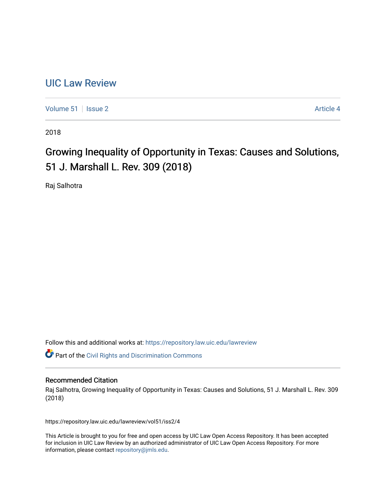## [UIC Law Review](https://repository.law.uic.edu/lawreview)

[Volume 51](https://repository.law.uic.edu/lawreview/vol51) | [Issue 2](https://repository.law.uic.edu/lawreview/vol51/iss2) Article 4

2018

# Growing Inequality of Opportunity in Texas: Causes and Solutions, 51 J. Marshall L. Rev. 309 (2018)

Raj Salhotra

Follow this and additional works at: [https://repository.law.uic.edu/lawreview](https://repository.law.uic.edu/lawreview?utm_source=repository.law.uic.edu%2Flawreview%2Fvol51%2Fiss2%2F4&utm_medium=PDF&utm_campaign=PDFCoverPages) 

Part of the [Civil Rights and Discrimination Commons](http://network.bepress.com/hgg/discipline/585?utm_source=repository.law.uic.edu%2Flawreview%2Fvol51%2Fiss2%2F4&utm_medium=PDF&utm_campaign=PDFCoverPages) 

## Recommended Citation

Raj Salhotra, Growing Inequality of Opportunity in Texas: Causes and Solutions, 51 J. Marshall L. Rev. 309 (2018)

https://repository.law.uic.edu/lawreview/vol51/iss2/4

This Article is brought to you for free and open access by UIC Law Open Access Repository. It has been accepted for inclusion in UIC Law Review by an authorized administrator of UIC Law Open Access Repository. For more information, please contact [repository@jmls.edu.](mailto:repository@jmls.edu)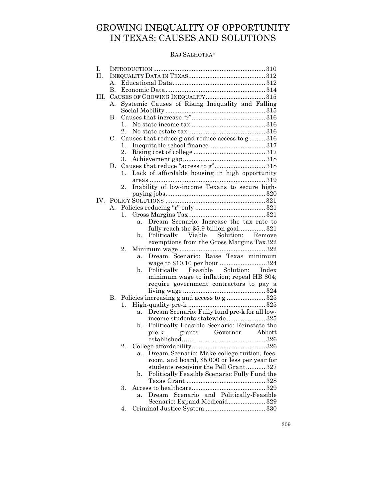## GROWING INEQUALITY OF OPPORTUNITY IN TEXAS: CAUSES AND SOLUTIONS

## RAJ SALHOTRA\*

| I. |             |         |                                                        |  |  |  |
|----|-------------|---------|--------------------------------------------------------|--|--|--|
| П. |             |         |                                                        |  |  |  |
|    | $A_{\cdot}$ |         |                                                        |  |  |  |
|    | В.          |         |                                                        |  |  |  |
| Ш. |             |         |                                                        |  |  |  |
|    | А.          |         | Systemic Causes of Rising Inequality and Falling       |  |  |  |
|    |             |         |                                                        |  |  |  |
|    | В.          |         |                                                        |  |  |  |
|    |             | 1.      |                                                        |  |  |  |
|    |             | $2_{-}$ |                                                        |  |  |  |
|    | C.          |         | Causes that reduce g and reduce access to g316         |  |  |  |
|    |             | 1.      |                                                        |  |  |  |
|    |             | 2.      |                                                        |  |  |  |
|    |             | 3.      |                                                        |  |  |  |
|    | D.          |         | Causes that reduce "access to g" 318                   |  |  |  |
|    |             | 1.      | Lack of affordable housing in high opportunity         |  |  |  |
|    |             |         |                                                        |  |  |  |
|    |             | 2.      | Inability of low-income Texans to secure high-         |  |  |  |
|    |             |         |                                                        |  |  |  |
|    |             |         |                                                        |  |  |  |
|    | А.          |         |                                                        |  |  |  |
|    |             | 1.      |                                                        |  |  |  |
|    |             |         | Dream Scenario: Increase the tax rate to<br>a.         |  |  |  |
|    |             |         | fully reach the \$5.9 billion goal321                  |  |  |  |
|    |             |         | Politically Viable Solution: Remove<br>$\mathbf{b}$ .  |  |  |  |
|    |             |         | exemptions from the Gross Margins Tax 322              |  |  |  |
|    |             | 2.      |                                                        |  |  |  |
|    |             |         | Dream Scenario: Raise Texas minimum<br>a.              |  |  |  |
|    |             |         |                                                        |  |  |  |
|    |             |         | Politically Feasible Solution: Index<br>$\mathbf{b}$ . |  |  |  |
|    |             |         | minimum wage to inflation; repeal HB 804;              |  |  |  |
|    |             |         | require government contractors to pay a                |  |  |  |
|    |             |         |                                                        |  |  |  |
|    | В.          |         | Policies increasing g and access to g  325             |  |  |  |
|    |             | 1.      |                                                        |  |  |  |
|    |             |         | Dream Scenario: Fully fund pre-k for all low-<br>a.    |  |  |  |
|    |             |         | income students statewide 325                          |  |  |  |
|    |             |         | Politically Feasible Scenario: Reinstate the<br>b.     |  |  |  |
|    |             |         | grants Governor Abbott<br>$pre-k$                      |  |  |  |
|    |             |         |                                                        |  |  |  |
|    |             | 2.      |                                                        |  |  |  |
|    |             |         | Dream Scenario: Make college tuition, fees,<br>а.      |  |  |  |
|    |             |         | room, and board, \$5,000 or less per year for          |  |  |  |
|    |             |         | students receiving the Pell Grant 327                  |  |  |  |
|    |             |         | Politically Feasible Scenario: Fully Fund the<br>b.    |  |  |  |
|    |             |         |                                                        |  |  |  |
|    |             | 3.      |                                                        |  |  |  |
|    |             |         | and Politically-Feasible<br>Scenario<br>$D$ ream<br>a. |  |  |  |
|    |             |         | Scenario: Expand Medicaid 329                          |  |  |  |
|    |             | 4.      |                                                        |  |  |  |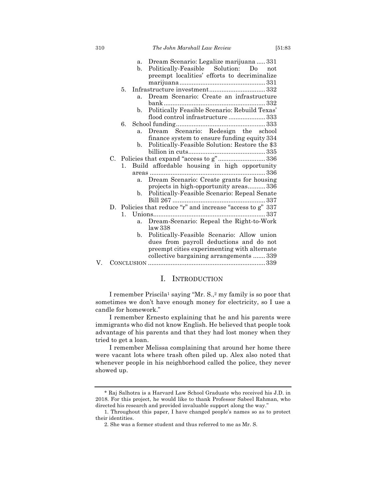|    | a.             | Dream Scenario: Legalize marijuana  331                                                                              |  |  |  |
|----|----------------|----------------------------------------------------------------------------------------------------------------------|--|--|--|
|    | b.             | Politically-Feasible Solution: Do not                                                                                |  |  |  |
|    |                | preempt localities' efforts to decriminalize                                                                         |  |  |  |
|    |                |                                                                                                                      |  |  |  |
|    | 5.             |                                                                                                                      |  |  |  |
|    | a <sub>z</sub> | Dream Scenario: Create an infrastructure                                                                             |  |  |  |
|    |                |                                                                                                                      |  |  |  |
|    | b.             | Politically Feasible Scenario: Rebuild Texas'                                                                        |  |  |  |
|    |                | flood control infrastructure  333                                                                                    |  |  |  |
|    | 6.             |                                                                                                                      |  |  |  |
|    | $a_{\cdot}$    | Dream Scenario: Redesign the school                                                                                  |  |  |  |
|    |                | finance system to ensure funding equity 334                                                                          |  |  |  |
|    | $b_{-}$        | Politically-Feasible Solution: Restore the \$3                                                                       |  |  |  |
|    |                |                                                                                                                      |  |  |  |
| C. |                | Policies that expand "access to g"336                                                                                |  |  |  |
|    | 1.             | Build affordable housing in high opportunity                                                                         |  |  |  |
|    |                |                                                                                                                      |  |  |  |
|    | a.             | Dream Scenario: Create grants for housing                                                                            |  |  |  |
|    |                | projects in high-opportunity areas336                                                                                |  |  |  |
|    | b.             | Politically-Feasible Scenario: Repeal Senate                                                                         |  |  |  |
|    |                |                                                                                                                      |  |  |  |
|    |                | D. Policies that reduce "r" and increase "access to g" 337                                                           |  |  |  |
|    | 1.             |                                                                                                                      |  |  |  |
|    | a.             | Dream-Scenario: Repeal the Right-to-Work                                                                             |  |  |  |
|    |                | law 338                                                                                                              |  |  |  |
|    |                | $\mathbf{u}$ $\mathbf{v}$ $\mathbf{u}$ $\mathbf{v}$ $\mathbf{v}$ $\mathbf{v}$ $\mathbf{v}$ $\mathbf{v}$ $\mathbf{v}$ |  |  |  |

|  | b. Politically-Feasible Scenario: Allow union |  |
|--|-----------------------------------------------|--|
|  | dues from payroll deductions and do not       |  |
|  | preempt cities experimenting with alternate   |  |
|  | collective bargaining arrangements  339       |  |
|  |                                               |  |

## I. INTRODUCTION

I remember Priscila1 saying "Mr. S.,2 my family is so poor that sometimes we don't have enough money for electricity, so I use a candle for homework."

I remember Ernesto explaining that he and his parents were immigrants who did not know English. He believed that people took advantage of his parents and that they had lost money when they tried to get a loan.

I remember Melissa complaining that around her home there were vacant lots where trash often piled up. Alex also noted that whenever people in his neighborhood called the police, they never showed up.

<sup>\*</sup> Raj Salhotra is a Harvard Law School Graduate who received his J.D. in 2018. For this project, he would like to thank Professor Sabeel Rahman, who directed his research and provided invaluable support along the way."

<sup>1.</sup> Throughout this paper, I have changed people's names so as to protect their identities.

<sup>2.</sup> She was a former student and thus referred to me as Mr. S.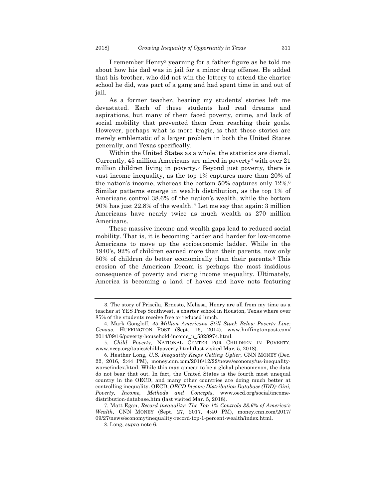I remember Henry3 yearning for a father figure as he told me about how his dad was in jail for a minor drug offense. He added that his brother, who did not win the lottery to attend the charter school he did, was part of a gang and had spent time in and out of jail.

As a former teacher, hearing my students' stories left me devastated. Each of these students had real dreams and aspirations, but many of them faced poverty, crime, and lack of social mobility that prevented them from reaching their goals. However, perhaps what is more tragic, is that these stories are merely emblematic of a larger problem in both the United States generally, and Texas specifically.

Within the United States as a whole, the statistics are dismal. Currently,  $45$  million Americans are mired in poverty<sup>4</sup> with over  $21$ million children living in poverty.<sup>5</sup> Beyond just poverty, there is vast income inequality, as the top 1% captures more than 20% of the nation's income, whereas the bottom 50% captures only 12%.6 Similar patterns emerge in wealth distribution, as the top 1% of Americans control 38.6% of the nation's wealth, while the bottom 90% has just 22.8% of the wealth. <sup>7</sup> Let me say that again: 3 million Americans have nearly twice as much wealth as 270 million Americans.

These massive income and wealth gaps lead to reduced social mobility. That is, it is becoming harder and harder for low-income Americans to move up the socioeconomic ladder. While in the 1940's, 92% of children earned more than their parents, now only 50% of children do better economically than their parents.8 This erosion of the American Dream is perhaps the most insidious consequence of poverty and rising income inequality. Ultimately, America is becoming a land of haves and have nots featuring

<sup>3.</sup> The story of Priscila, Ernesto, Melissa, Henry are all from my time as a teacher at YES Prep Southwest, a charter school in Houston, Texas where over 85% of the students receive free or reduced lunch.

<sup>4</sup>. Mark Gongloff, *45 Million Americans Still Stuck Below Poverty Line: Census*, HUFFINGTON POST (Sept. 16, 2014), www.huffingtonpost.com/ 2014/09/16/poverty-household-income\_n\_5828974.html.

<sup>5.</sup> *Child Poverty,* NATIONAL CENTER FOR CHILDREN IN POVERTY, www.nccp.org/topics/childpoverty.html (last visited Mar. 5, 2018).

<sup>6.</sup> Heather Long, *U.S. Inequality Keeps Getting Uglier,* CNN MONEY (Dec. 22, 2016, 2:44 PM), money.cnn.com/2016/12/22/news/economy/us-inequalityworse/index.html. While this may appear to be a global phenomenon, the data do not bear that out. In fact, the United States is the fourth most unequal country in the OECD, and many other countries are doing much better at controlling inequality. OECD, *OECD Income Distribution Database (IDD): Gini, Poverty, Income, Methods and Concepts*, www.oecd.org/social/incomedistribution-database.htm (last visited Mar. 5, 2018).

<sup>7.</sup> Matt Egan, *Record inequality: The Top 1% Controls 38.6% of America's Wealth,* CNN MONEY (Sept. 27, 2017, 4:40 PM), money.cnn.com/2017/ 09/27/news/economy/inequality-record-top-1-percent-wealth/index.html.

<sup>8.</sup> Long, *supra* note 6.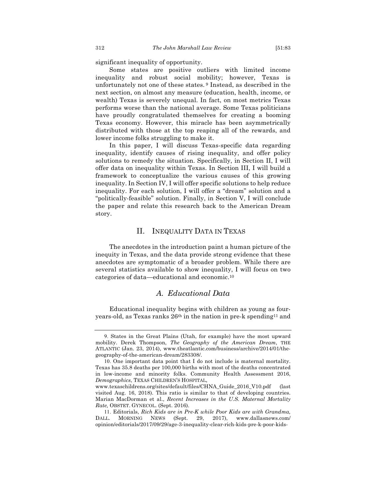significant inequality of opportunity.

Some states are positive outliers with limited income inequality and robust social mobility; however, Texas is unfortunately not one of these states. <sup>9</sup> Instead, as described in the next section, on almost any measure (education, health, income, or wealth) Texas is severely unequal. In fact, on most metrics Texas performs worse than the national average. Some Texas politicians have proudly congratulated themselves for creating a booming Texas economy. However, this miracle has been asymmetrically distributed with those at the top reaping all of the rewards, and lower income folks struggling to make it.

In this paper, I will discuss Texas-specific data regarding inequality, identify causes of rising inequality, and offer policy solutions to remedy the situation. Specifically, in Section II, I will offer data on inequality within Texas. In Section III, I will build a framework to conceptualize the various causes of this growing inequality. In Section IV, I will offer specific solutions to help reduce inequality. For each solution, I will offer a "dream" solution and a "politically-feasible" solution. Finally, in Section V, I will conclude the paper and relate this research back to the American Dream story.

#### II. INEQUALITY DATA IN TEXAS

The anecdotes in the introduction paint a human picture of the inequity in Texas, and the data provide strong evidence that these anecdotes are symptomatic of a broader problem. While there are several statistics available to show inequality, I will focus on two categories of data—educational and economic.10

## *A. Educational Data*

Educational inequality begins with children as young as fouryears-old, as Texas ranks  $26<sup>th</sup>$  in the nation in pre-k spending<sup>11</sup> and

<sup>9.</sup> States in the Great Plains (Utah, for example) have the most upward mobility. Derek Thompson, *The Geography of the American Dream*, THE ATLANTIC (Jan. 23, 2014), www.theatlantic.com/business/archive/2014/01/thegeography-of-the-american-dream/283308/.

<sup>10.</sup> One important data point that I do not include is maternal mortality. Texas has 35.8 deaths per 100,000 births with most of the deaths concentrated in low-income and minority folks. Community Health Assessment 2016, *Demographics*, TEXAS CHILDREN'S HOSPITAL,

www.texaschildrens.org/sites/default/files/CHNA\_Guide\_2016\_V10.pdf (last visited Aug. 16, 2018). This ratio is similar to that of developing countries. Marian MacDorman et al., *Recent Increases in the U.S. Maternal Mortality Rate,* OBSTET. GYNECOL. (Sept. 2016).

<sup>11.</sup> Editorials, *Rich Kids are in Pre-K while Poor Kids are with Grandma,*  DALL. MORNING NEWS (Sept. 29, 2017), www.dallasnews.com/ opinion/editorials/2017/09/29/age-3-inequality-clear-rich-kids-pre-k-poor-kids-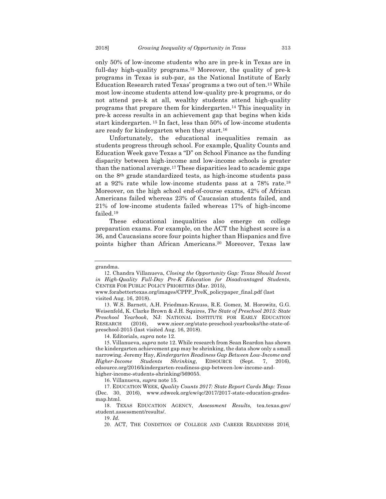only 50% of low-income students who are in pre-k in Texas are in full-day high-quality programs.<sup>12</sup> Moreover, the quality of pre-k programs in Texas is sub-par, as the National Institute of Early Education Research rated Texas' programs a two out of ten.13 While most low-income students attend low-quality pre-k programs, or do not attend pre-k at all, wealthy students attend high-quality programs that prepare them for kindergarten.14 This inequality in pre-k access results in an achievement gap that begins when kids start kindergarten. <sup>15</sup> In fact, less than 50% of low-income students are ready for kindergarten when they start.16

Unfortunately, the educational inequalities remain as students progress through school. For example, Quality Counts and Education Week gave Texas a "D" on School Finance as the funding disparity between high-income and low-income schools is greater than the national average.17 These disparities lead to academic gaps on the 8th grade standardized tests, as high-income students pass at a 92% rate while low-income students pass at a 78% rate.18 Moreover, on the high school end-of-course exams, 42% of African Americans failed whereas 23% of Caucasian students failed, and 21% of low-income students failed whereas 17% of high-income failed.19

These educational inequalities also emerge on college preparation exams. For example, on the ACT the highest score is a 36, and Caucasians score four points higher than Hispanics and five points higher than African Americans.20 Moreover, Texas law

14. Editorials, *supra* note 12.

grandma.

<sup>12.</sup> Chandra Villanueva, *Closing the Opportunity Gap: Texas Should Invest in High-Quality Full-Day Pre-K Education for Disadvantaged Students*, CENTER FOR PUBLIC POLICY PRIORITIES (Mar. 2015),

www.forabettertexas.org/images/CPPP\_PreK\_policypaper\_final.pdf (last visited Aug. 16, 2018).

<sup>13.</sup> W.S. Barnett, A.H. Friedman-Krauss, R.E. Gomez, M. Horowitz, G.G. Weisenfeld, K. Clarke Brown & J.H. Squires, *The State of Preschool 2015: State Preschool Yearbook*, NJ: NATIONAL INSTITUTE FOR EARLY EDUCATION RESEARCH (2016), www.nieer.org/state-preschool-yearbooks/the-state-ofpreschool-2015 (last visited Aug. 16, 2018).

<sup>15.</sup> Villanueva, *supra* note 12. While research from Sean Reardon has shown the kindergarten achievement gap may be shrinking, the data show only a small narrowing. Jeremy Hay, *Kindergarten Readiness Gap Between Low-Income and Higher-Income Students Shrinking*, EDSOURCE (Sept. 7, 2016), edsource.org/2016/kindergarten-readiness-gap-between-low-income-andhigher-income-students-shrinking/569055.

<sup>16.</sup> Villanueva, *supra* note 15.

<sup>17.</sup> EDUCATION WEEK, *Quality Counts 2017: State Report Cards Map: Texas* (Dec. 30, 2016), www.edweek.org/ew/qc/2017/2017-state-education-gradesmap.html.

<sup>18.</sup> TEXAS EDUCATION AGENCY, *Assessment Results,* tea.texas.gov/ student.assessment/results/.

<sup>19.</sup> *Id.*

<sup>20.</sup> ACT, THE CONDITION OF COLLEGE AND CAREER READINESS 2016*¸*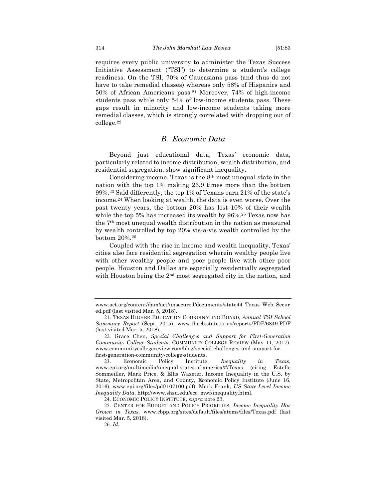requires every public university to administer the Texas Success Initiative Assessment ("TSI") to determine a student's college readiness. On the TSI, 70% of Caucasians pass (and thus do not have to take remedial classes) whereas only 58% of Hispanics and 50% of African Americans pass.21 Moreover, 74% of high-income students pass while only 54% of low-income students pass. These gaps result in minority and low-income students taking more remedial classes, which is strongly correlated with dropping out of college.22

## *B. Economic Data*

Beyond just educational data, Texas' economic data, particularly related to income distribution, wealth distribution, and residential segregation, show significant inequality.

Considering income, Texas is the 8th most unequal state in the nation with the top 1% making 26.9 times more than the bottom 99%.23 Said differently, the top 1% of Texans earn 21% of the state's income.24 When looking at wealth, the data is even worse. Over the past twenty years, the bottom 20% has lost 10% of their wealth while the top 5% has increased its wealth by 96%.25 Texas now has the 7th most unequal wealth distribution in the nation as measured by wealth controlled by top 20% vis-a-vis wealth controlled by the bottom 20%.26

Coupled with the rise in income and wealth inequality, Texas' cities also face residential segregation wherein wealthy people live with other wealthy people and poor people live with other poor people. Houston and Dallas are especially residentially segregated with Houston being the 2<sup>nd</sup> most segregated city in the nation, and

www.act.org/content/dam/act/unsecured/documents/state44\_Texas\_Web\_Secur ed.pdf (last visited Mar. 5, 2018).

<sup>21.</sup> TEXAS HIGHER EDUCATION COORDINATING BOARD, *Annual TSI School Summary Report* (Sept. 2015), www.thecb.state.tx.us/reports/PDF/6849.PDF (last visited Mar. 5, 2018).

<sup>22.</sup> Grace Chen, *Special Challenges and Support for First-Generation Community College Students*, COMMUNITY COLLEGE REVIEW (May 11, 2017), www.communitycollegereview.com/blog/special-challenges-and-support-forfirst-generation-community-college-students.

<sup>23.</sup> Economic Policy Institute, *Inequality in Texas*, www.epi.org/multimedia/unequal-states-of-america/#/Texas (citing Estelle Sommeiller, Mark Price, & Ellis Wazeter, Income Inequality in the U.S. by State, Metropolitan Area, and County, Economic Policy Institute (June 16, 2016), www.epi.org/files/pdf/107100.pdf). Mark Frank, *US State-Level Income Inequality Data*, http://www.shsu.edu/eco\_mwf/inequality.html.

<sup>24.</sup> ECONOMIC POLICY INSTITUTE, *supra* note 23.

<sup>25.</sup> CENTER FOR BUDGET AND POLICY PRIORITIES, *Income Inequality Has Grown in Texas,* www.cbpp.org/sites/default/files/atoms/files/Texas.pdf (last visited Mar. 5, 2018).

<sup>26.</sup> *Id.*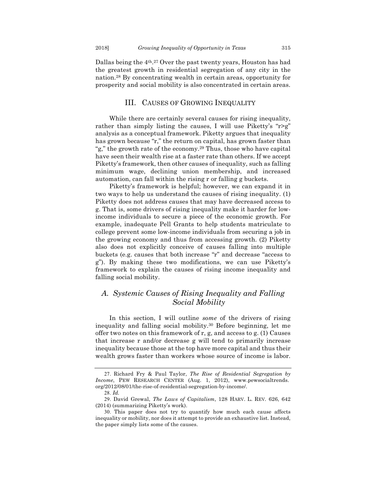Dallas being the 4th.27 Over the past twenty years, Houston has had the greatest growth in residential segregation of any city in the nation.28 By concentrating wealth in certain areas, opportunity for prosperity and social mobility is also concentrated in certain areas.

#### III. CAUSES OF GROWING INEQUALITY

While there are certainly several causes for rising inequality, rather than simply listing the causes, I will use Piketty's "r>g" analysis as a conceptual framework. Piketty argues that inequality has grown because "r," the return on capital, has grown faster than "g," the growth rate of the economy.29 Thus, those who have capital have seen their wealth rise at a faster rate than others. If we accept Piketty's framework, then other causes of inequality, such as falling minimum wage, declining union membership, and increased automation, can fall within the rising r or falling g buckets.

Piketty's framework is helpful; however, we can expand it in two ways to help us understand the causes of rising inequality. (1) Piketty does not address causes that may have decreased access to g. That is, some drivers of rising inequality make it harder for lowincome individuals to secure a piece of the economic growth. For example, inadequate Pell Grants to help students matriculate to college prevent some low-income individuals from securing a job in the growing economy and thus from accessing growth. (2) Piketty also does not explicitly conceive of causes falling into multiple buckets (e.g. causes that both increase "r" and decrease "access to g"). By making these two modifications, we can use Piketty's framework to explain the causes of rising income inequality and falling social mobility.

## *A. Systemic Causes of Rising Inequality and Falling Social Mobility*

In this section, I will outline *some* of the drivers of rising inequality and falling social mobility.30 Before beginning, let me offer two notes on this framework of r, g, and access to g. (1) Causes that increase r and/or decrease g will tend to primarily increase inequality because those at the top have more capital and thus their wealth grows faster than workers whose source of income is labor.

<sup>27.</sup> Richard Fry & Paul Taylor, *The Rise of Residential Segregation by Income*, PEW RESEARCH CENTER (Aug. 1, 2012), www.pewsocialtrends. org/2012/08/01/the-rise-of-residential-segregation-by-income/.

<sup>28.</sup> *Id.* 

<sup>29.</sup> David Grewal, *The Laws of Capitalism*, 128 HARV. L. REV*.* 626, 642 (2014) (summarizing Piketty's work).

<sup>30.</sup> This paper does not try to quantify how much each cause affects inequality or mobility, nor does it attempt to provide an exhaustive list. Instead, the paper simply lists some of the causes.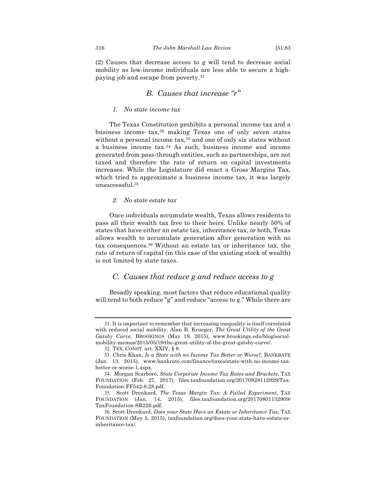(2) Causes that decrease access to g will tend to decrease social mobility as low-income individuals are less able to secure a highpaying job and escape from poverty.31

## *B. Causes that increase "r"*

#### *1. No state income tax*

The Texas Constitution prohibits a personal income tax and a business income tax,32 making Texas one of only seven states without a personal income tax,<sup>33</sup> and one of only six states without a business income tax.34 As such, business income and income generated from pass-through entities, such as partnerships, are not taxed and therefore the rate of return on capital investments increases. While the Legislature did enact a Gross Margins Tax, which tried to approximate a business income tax, it was largely unsuccessful.35

#### *2. No state estate tax*

Once individuals accumulate wealth, Texas allows residents to pass all their wealth tax free to their heirs. Unlike nearly 50% of states that have either an estate tax, inheritance tax, or both, Texas allows wealth to accumulate generation after generation with no tax consequences.36 Without an estate tax or inheritance tax, the rate of return of capital (in this case of the existing stock of wealth) is not limited by state taxes.

## *C. Causes that reduce g and reduce access to g*

Broadly speaking, most factors that reduce educational quality will tend to both reduce "g" and reduce "access to g." While there are

<sup>31.</sup> It is important to remember that increasing inequality is itself correlated with reduced social mobility. Alan B. Krueger, *The Great Utility of the Great Gatsby Curve,* BROOKINGS (May 19, 2015), www.brookings.edu/blog/socialmobility-memos/2015/05/19/the-great-utility-of-the-great-gatsby-curve/.

<sup>32.</sup> TEX. CONST. art. XXIV, § 8.

<sup>33.</sup> Chris Khan, *Is a State with no Income Tax Better or Worse?*, BANKRATE (Jan. 13, 2015), www.bankrate.com/finance/taxes/state-with-no-income-taxbetter-or-worse-1.aspx.

<sup>34.</sup> Morgan Scarboro, *State Corporate Income Tax Rates and Brackets*, TAX FOUNDATION (Feb. 27, 2017), files.taxfoundation.org/20170828112929/Tax-Foundation-FF542-8.28.pdf.

<sup>35.</sup> Scott Drenkard, *The Texas Margin Tax: A Failed Experiment*, TAX FOUNDATION (Jan. 14, 2015), files.taxfoundation.org/20170801132909/ TaxFoundation-SR226.pdf.

<sup>36.</sup> Scott Drenkard, *Does your State Have an Estate or Inheritance Tax*, TAX FOUNDATION (May 5, 2015), taxfoundation.org/does-your-state-have-estate-orinheritance-tax/.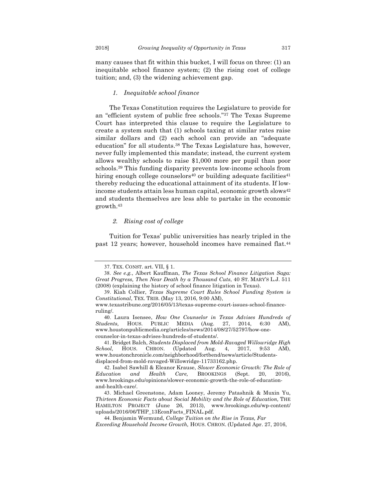many causes that fit within this bucket, I will focus on three: (1) an inequitable school finance system; (2) the rising cost of college tuition; and, (3) the widening achievement gap.

#### *1. Inequitable school finance*

The Texas Constitution requires the Legislature to provide for an "efficient system of public free schools."37 The Texas Supreme Court has interpreted this clause to require the Legislature to create a system such that (1) schools taxing at similar rates raise similar dollars and (2) each school can provide an "adequate education" for all students.38 The Texas Legislature has, however, never fully implemented this mandate; instead, the current system allows wealthy schools to raise \$1,000 more per pupil than poor schools.39 This funding disparity prevents low-income schools from hiring enough college counselors<sup>40</sup> or building adequate facilities<sup>41</sup> thereby reducing the educational attainment of its students. If lowincome students attain less human capital, economic growth slows<sup>42</sup> and students themselves are less able to partake in the economic growth.43

#### *2. Rising cost of college*

Tuition for Texas' public universities has nearly tripled in the past 12 years; however, household incomes have remained flat.44

<sup>37.</sup> TEX. CONST. art. VII, § 1.

<sup>38.</sup> *See e.g.*, Albert Kauffman, *The Texas School Finance Litigation Saga: Great Progress, Then Near Death by a Thousand Cuts*, 40 ST. MARY'S L.J. 511 (2008) (explaining the history of school finance litigation in Texas).

<sup>39.</sup> Kiah Collier, *Texas Supreme Court Rules School Funding System is Constitutional*, TEX. TRIB. (May 13, 2016, 9:00 AM),

www.texastribune.org/2016/05/13/texas-supreme-court-issues-school-financeruling/.

<sup>40.</sup> Laura Isensee, *How One Counselor in Texas Advises Hundreds of Students,* HOUS. PUBLIC MEDIA (Aug. 27, 2014, 6:30 AM), www.houstonpublicmedia.org/articles/news/2014/08/27/52797/how-onecounselor-in-texas-advises-hundreds-of-students/.

<sup>41.</sup> Bridget Balch, *Students Displaced from Mold-Ravaged Willowridge High School,* HOUS. CHRON. (Updated Aug. 4, 2017, 9:53 AM), www.houstonchronicle.com/neighborhood/fortbend/news/article/Studentsdisplaced-from-mold-ravaged-Willowridge-11733162.php.

<sup>42.</sup> Isabel Sawhill & Eleanor Krause, *Slower Economic Growth: The Role of Education and Health Care,* BROOKINGS (Sept. 20, 2016), www.brookings.edu/opinions/slower-economic-growth-the-role-of-educationand-health-care/.

<sup>43.</sup> Michael Greenstone, Adam Looney, Jeremy Patashnik & Muxin Yu, *Thirteen Economic Facts about Social Mobility and the Role of Education,* THE HAMILTON PROJECT (June 26, 2013), www.brookings.edu/wp-content/ uploads/2016/06/THP\_13EconFacts\_FINAL.pdf.

<sup>44.</sup> Benjamin Wermund, *College Tuition on the Rise in Texas, Far* 

*Exceeding Household Income Growth,* HOUS. CHRON. (Updated Apr. 27, 2016,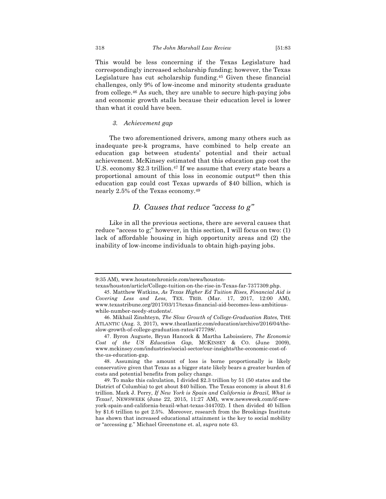This would be less concerning if the Texas Legislature had correspondingly increased scholarship funding; however, the Texas Legislature has cut scholarship funding.45 Given these financial challenges, only 9% of low-income and minority students graduate from college.46 As such, they are unable to secure high-paying jobs and economic growth stalls because their education level is lower than what it could have been.

#### *3. Achievement gap*

The two aforementioned drivers, among many others such as inadequate pre-k programs, have combined to help create an education gap between students' potential and their actual achievement. McKinsey estimated that this education gap cost the U.S. economy \$2.3 trillion.<sup>47</sup> If we assume that every state bears a proportional amount of this loss in economic output48 then this education gap could cost Texas upwards of \$40 billion, which is nearly 2.5% of the Texas economy.49

## *D. Causes that reduce "access to g"*

Like in all the previous sections, there are several causes that reduce "access to g;" however, in this section, I will focus on two: (1) lack of affordable housing in high opportunity areas and (2) the inability of low-income individuals to obtain high-paying jobs.

<sup>9:35</sup> AM), www.houstonchronicle.com/news/houston-

texas/houston/article/College-tuition-on-the-rise-in-Texas-far-7377309.php.

<sup>45.</sup> Matthew Watkins, *As Texas Higher Ed Tuition Rises, Financial Aid is Covering Less and Less,* TEX. TRIB. (Mar. 17, 2017, 12:00 AM), www.texastribune.org/2017/03/17/texas-financial-aid-becomes-less-ambitiouswhile-number-needy-students/.

<sup>46.</sup> Mikhail Zinshteyn, *The Slow Growth of College-Graduation Rates,* THE ATLANTIC (Aug. 3, 2017), www.theatlantic.com/education/archive/2016/04/theslow-growth-of-college-graduation-rates/477798/.

<sup>47.</sup> Byron Auguste, Bryan Hancock & Martha Laboissiere, *The Economic Cost of the US Education Gap,* MCKINSEY & CO. (June 2009), www.mckinsey.com/industries/social-sector/our-insights/the-economic-cost-ofthe-us-education-gap.

<sup>48.</sup> Assuming the amount of loss is borne proportionally is likely conservative given that Texas as a bigger state likely bears a greater burden of costs and potential benefits from policy change.

<sup>49.</sup> To make this calculation, I divided \$2.3 trillion by 51 (50 states and the District of Columbia) to get about \$40 billion. The Texas economy is about \$1.6 trillion. Mark J. Perry, *If New York is Spain and California is Brazil, What is Texas?*, NEWSWEEK (June 22, 2015, 11:27 AM), www.newsweek.com/if-newyork-spain-and-california-brazil-what-texas-344702). I then divided 40 billion by \$1.6 trillion to get 2.5%. Moreover, research from the Brookings Institute has shown that increased educational attainment is the key to social mobility or "accessing g." Michael Greenstone et. al, *supra* note 43.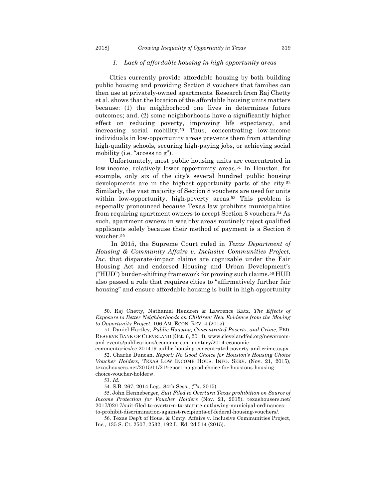#### *1. Lack of affordable housing in high opportunity areas*

Cities currently provide affordable housing by both building public housing and providing Section 8 vouchers that families can then use at privately-owned apartments. Research from Raj Chetty et al. shows that the location of the affordable housing units matters because: (1) the neighborhood one lives in determines future outcomes; and, (2) some neighborhoods have a significantly higher effect on reducing poverty, improving life expectancy, and increasing social mobility.50 Thus, concentrating low-income individuals in low-opportunity areas prevents them from attending high-quality schools, securing high-paying jobs, or achieving social mobility (i.e. "access to g").

Unfortunately, most public housing units are concentrated in low-income, relatively lower-opportunity areas.<sup>51</sup> In Houston, for example, only six of the city's several hundred public housing developments are in the highest opportunity parts of the city.52 Similarly, the vast majority of Section 8 vouchers are used for units within low-opportunity, high-poverty areas.<sup>53</sup> This problem is especially pronounced because Texas law prohibits municipalities from requiring apartment owners to accept Section 8 vouchers.54 As such, apartment owners in wealthy areas routinely reject qualified applicants solely because their method of payment is a Section 8 voucher.55

In 2015, the Supreme Court ruled in *Texas Department of Housing & Community Affairs v. Inclusive Communities Project, Inc.* that disparate-impact claims are cognizable under the Fair Housing Act and endorsed Housing and Urban Development's ("HUD") burden-shifting framework for proving such claims.56 HUD also passed a rule that requires cities to "affirmatively further fair housing" and ensure affordable housing is built in high-opportunity

<sup>50.</sup> Raj Chetty, Nathaniel Hendren & Lawrence Katz, *The Effects of Exposure to Better Neighborhoods on Children: New Evidence from the Moving to Opportunity Project*, 106 AM. ECON. REV. 4 (2015).

<sup>51.</sup> Daniel Hartley, *Public Housing, Concentrated Poverty, and Crime*, FED. RESERVE BANK OF CLEVELAND (Oct. 6, 2014), www.clevelandfed.org/newsroomand-events/publications/economic-commentary/2014-economic-

commentaries/ec-201419-public-housing-concentrated-poverty-and-crime.aspx. 52. Charlie Duncan, *Report: No Good Choice for Houston's Housing Choice Voucher Holders*, TEXAS LOW INCOME HOUS. INFO. SERV. (Nov. 21, 2015), texashousers.net/2015/11/21/report-no-good-choice-for-houstons-housingchoice-voucher-holders/.

<sup>53.</sup> *Id.* 

<sup>54.</sup> S.B. 267, 2014 Leg., 84th Sess., (Tx. 2015).

<sup>55.</sup> John Henneberger, *Suit Filed to Overturn Texas prohibition on Source of Income Protection for Voucher Holders* (Nov. 21, 2015), texashousers.net/ 2017/02/17/suit-filed-to-overturn-tx-statute-outlawing-municipal-ordinancesto-prohibit-discrimination-against-recipients-of-federal-housing-vouchers/.

<sup>56.</sup> Texas Dep't of Hous. & Cmty. Affairs v. Inclusive Communities Project, Inc*.*, 135 S. Ct. 2507, 2532, 192 L. Ed. 2d 514 (2015).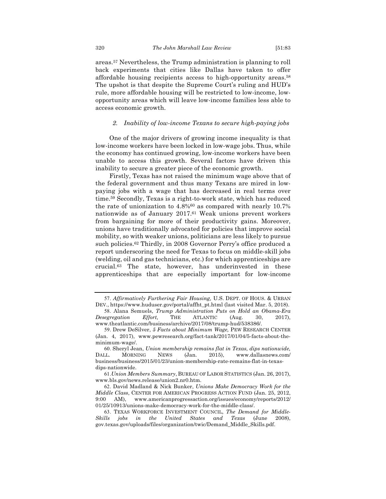areas.57 Nevertheless, the Trump administration is planning to roll back experiments that cities like Dallas have taken to offer affordable housing recipients access to high-opportunity areas.58 The upshot is that despite the Supreme Court's ruling and HUD's rule, more affordable housing will be restricted to low-income, lowopportunity areas which will leave low-income families less able to access economic growth.

#### *2. Inability of low-income Texans to secure high-paying jobs*

One of the major drivers of growing income inequality is that low-income workers have been locked in low-wage jobs. Thus, while the economy has continued growing, low-income workers have been unable to access this growth. Several factors have driven this inability to secure a greater piece of the economic growth.

Firstly, Texas has not raised the minimum wage above that of the federal government and thus many Texans are mired in lowpaying jobs with a wage that has decreased in real terms over time.59 Secondly, Texas is a right-to-work state, which has reduced the rate of unionization to 4.8%60 as compared with nearly 10.7% nationwide as of January 2017.61 Weak unions prevent workers from bargaining for more of their productivity gains. Moreover, unions have traditionally advocated for policies that improve social mobility, so with weaker unions, politicians are less likely to pursue such policies.<sup>62</sup> Thirdly, in 2008 Governor Perry's office produced a report underscoring the need for Texas to focus on middle-skill jobs (welding, oil and gas technicians, etc.) for which apprenticeships are crucial.63 The state, however, has underinvested in these apprenticeships that are especially important for low-income

<sup>57.</sup> *Affirmatively Furthering Fair Housing,* U.S. DEPT. OF HOUS. & URBAN DEV., https://www.huduser.gov/portal/affht\_pt.html (last visited Mar. 5, 2018).

<sup>58.</sup> Alana Semuels, *Trump Administration Puts on Hold an Obama-Era Desegregation Effort,* THE ATLANTIC (Aug. 30, 2017), www.theatlantic.com/business/archive/2017/08/trump-hud/538386/.

<sup>59.</sup> Drew DeSilver, *5 Facts about Minimum Wage,* PEW RESEARCH CENTER (Jan. 4, 2017), www.pewresearch.org/fact-tank/2017/01/04/5-facts-about-theminimum-wage/.

<sup>60.</sup> Sheryl Jean, *Union membership remains flat in Texas, dips nationwide,*  DALL. MORNING NEWS (Jan. 2015), www.dallasnews.com/ business/business/2015/01/23/union-membership-rate-remains-flat-in-texasdips-nationwide.

<sup>61.</sup>*Union Members Summary*, BUREAU OF LABOR STATISTICS (Jan. 26, 2017), www.bls.gov/news.release/union2.nr0.htm.

<sup>62.</sup> David Madland & Nick Bunker, *Unions Make Democracy Work for the Middle Class*, CENTER FOR AMERICAN PROGRESS ACTION FUND (Jan. 25, 2012, 9:00 AM), www.americanprogressaction.org/issues/economy/reports/2012/ 01/25/10913/unions-make-democracy-work-for-the-middle-class/.

<sup>63.</sup> TEXAS WORKFORCE INVESTMENT COUNCIL, *The Demand for Middle-Skills jobs in the United States and Texas* (June 2008), gov.texas.gov/uploads/files/organization/twic/Demand\_Middle\_Skills.pdf.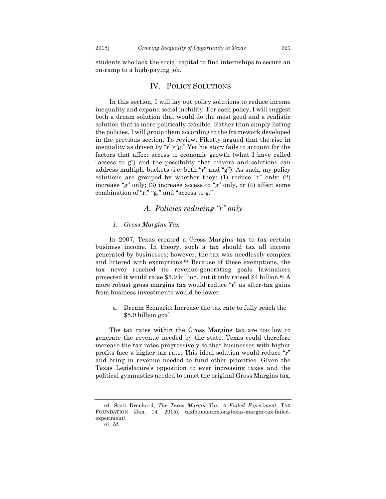students who lack the social capital to find internships to secure an on-ramp to a high-paying job.

## IV. POLICY SOLUTIONS

In this section, I will lay out policy solutions to reduce income inequality and expand social mobility. For each policy, I will suggest both a dream solution that would do the most good and a realistic solution that is more politically-feasible. Rather than simply listing the policies, I will group them according to the framework developed in the previous section. To review, Piketty argued that the rise in inequality as driven by "r">"g." Yet his story fails to account for the factors that affect access to economic growth (what I have called "access to g") and the possibility that drivers and solutions can address multiple buckets (i.e. both "r" and "g"). As such, my policy solutions are grouped by whether they: (1) reduce "r" only; (2) increase "g" only; (3) increase access to "g" only, or (4) affect some combination of "r," "g," and "access to g."

## *A. Policies reducing "r" only*

#### *1. Gross Margins Tax*

In 2007, Texas created a Gross Margins tax to tax certain business income. In theory, such a tax should tax all income generated by businesses; however, the tax was needlessly complex and littered with exemptions.64 Because of these exemptions, the tax never reached its revenue-generating goals—lawmakers projected it would raise \$5.9 billion, but it only raised \$4 billion.65 A more robust gross margins tax would reduce "r" as after-tax gains from business investments would be lower.

a. Dream Scenario: Increase the tax rate to fully reach the \$5.9 billion goal

The tax rates within the Gross Margins tax are too low to generate the revenue needed by the state. Texas could therefore increase the tax rates progressively so that businesses with higher profits face a higher tax rate. This ideal solution would reduce "r" and bring in revenue needed to fund other priorities. Given the Texas Legislature's opposition to ever increasing taxes and the political gymnastics needed to enact the original Gross Margins tax,

<sup>64.</sup> Scott Drenkard, *The Texas Margin Tax: A Failed Experiment*, TAX FOUNDATION (Jan. 14, 2015), taxfoundation.org/texas-margin-tax-failedexperiment/.

<sup>65.</sup> *Id.*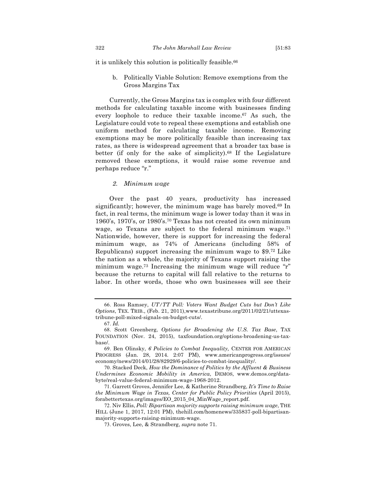it is unlikely this solution is politically feasible.<sup>66</sup>

b. Politically Viable Solution: Remove exemptions from the Gross Margins Tax

Currently, the Gross Margins tax is complex with four different methods for calculating taxable income with businesses finding every loophole to reduce their taxable income.67 As such, the Legislature could vote to repeal these exemptions and establish one uniform method for calculating taxable income. Removing exemptions may be more politically feasible than increasing tax rates, as there is widespread agreement that a broader tax base is better (if only for the sake of simplicity).68 If the Legislature removed these exemptions, it would raise some revenue and perhaps reduce "r."

#### *2. Minimum wage*

Over the past 40 years, productivity has increased significantly; however, the minimum wage has barely moved.69 In fact, in real terms, the minimum wage is lower today than it was in 1960's, 1970's, or 1980's.70 Texas has not created its own minimum wage, so Texans are subject to the federal minimum wage.71 Nationwide, however, there is support for increasing the federal minimum wage, as 74% of Americans (including 58% of Republicans) support increasing the minimum wage to \$9.72 Like the nation as a whole, the majority of Texans support raising the minimum wage.73 Increasing the minimum wage will reduce "r" because the returns to capital will fall relative to the returns to labor. In other words, those who own businesses will see their

70. Stacked Deck, *How the Dominance of Politics by the Affluent & Business Undermines Economic Mobility in America*, DEMOS, www.demos.org/databyte/real-value-federal-minimum-wage-1968-2012.

71. Garrett Groves, Jennifer Lee, & Katherine Strandberg, *It's Time to Raise the Minimum Wage in Texas, Center for Public Policy Priorities* (April 2015), forabettertexas.org/images/EO\_2015\_04\_MinWage\_report.pdf.

72. Niv Ellis, *Poll: Bipartisan majority supports raising minimum wage*, THE HILL (June 1, 2017, 12:01 PM), thehill.com/homenews/335837-poll-bipartisanmajority-supports-raising-minimum-wage.

<sup>66.</sup> Ross Ramsey, *UT/TT Poll: Voters Want Budget Cuts but Don't Like Options*, TEX. TRIB., (Feb. 21, 2011),www.texastribune.org/2011/02/21/uttexastribune-poll-mixed-signals-on-budget-cuts/.

<sup>67.</sup> *Id.*

<sup>68.</sup> Scott Greenberg, *Options for Broadening the U.S. Tax Base*, TAX FOUNDATION (Nov. 24, 2015), taxfoundation.org/options-broadening-us-taxbase/.

<sup>69.</sup> Ben Olinsky, *6 Policies to Combat Inequality,* CENTER FOR AMERICAN PROGRESS (Jan. 28, 2014. 2:07 PM), www.americanprogress.org/issues/ economy/news/2014/01/28/82929/6-policies-to-combat-inequality/.

<sup>73.</sup> Groves, Lee, & Strandberg, *supra* note 71.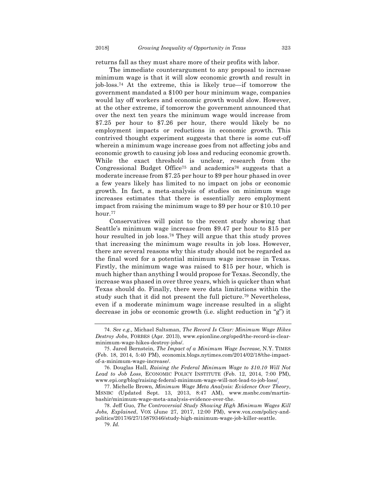returns fall as they must share more of their profits with labor.

The immediate counterargument to any proposal to increase minimum wage is that it will slow economic growth and result in job-loss.74 At the extreme, this is likely true—if tomorrow the government mandated a \$100 per hour minimum wage, companies would lay off workers and economic growth would slow. However, at the other extreme, if tomorrow the government announced that over the next ten years the minimum wage would increase from \$7.25 per hour to \$7.26 per hour, there would likely be no employment impacts or reductions in economic growth. This contrived thought experiment suggests that there is some cut-off wherein a minimum wage increase goes from not affecting jobs and economic growth to causing job loss and reducing economic growth. While the exact threshold is unclear, research from the Congressional Budget Office<sup>75</sup> and academics<sup>76</sup> suggests that a moderate increase from \$7.25 per hour to \$9 per hour phased in over a few years likely has limited to no impact on jobs or economic growth. In fact, a meta-analysis of studies on minimum wage increases estimates that there is essentially zero employment impact from raising the minimum wage to \$9 per hour or \$10.10 per hour.77

Conservatives will point to the recent study showing that Seattle's minimum wage increase from \$9.47 per hour to \$15 per hour resulted in job loss.<sup>78</sup> They will argue that this study proves that increasing the minimum wage results in job loss. However, there are several reasons why this study should not be regarded as the final word for a potential minimum wage increase in Texas. Firstly, the minimum wage was raised to \$15 per hour, which is much higher than anything I would propose for Texas. Secondly, the increase was phased in over three years, which is quicker than what Texas should do. Finally, there were data limitations within the study such that it did not present the full picture.79 Nevertheless, even if a moderate minimum wage increase resulted in a slight decrease in jobs or economic growth (i.e. slight reduction in "g") it

<sup>74.</sup> *See e.g.,* Michael Saltsman, *The Record Is Clear: Minimum Wage Hikes Destroy Jobs*, FORBES (Apr. 2013), www.epionline.org/oped/the-record-is-clearminimum-wage-hikes-destroy-jobs/.

<sup>75.</sup> Jared Bernstein, *The Impact of a Minimum Wage Increase,* N.Y. TIMES (Feb. 18, 2014, 5:40 PM), economix.blogs.nytimes.com/2014/02/18/the-impactof-a-minimum-wage-increase/.

<sup>76.</sup> Douglas Hall, *Raising the Federal Minimum Wage to \$10.10 Will Not Lead to Job Loss*, ECONOMIC POLICY INSTITUTE (Feb. 12, 2014, 7:00 PM), www.epi.org/blog/raising-federal-minimum-wage-will-not-lead-to-job-loss/.

<sup>77.</sup> Michelle Brown, *Minimum Wage Meta Analysis: Evidence Over Theory*, MSNBC (Updated Sept. 13, 2013, 8:47 AM), www.msnbc.com/martinbashir/minimum-wage-meta-analysis-evidence-over-the.

<sup>78.</sup> Jeff Guo, *The Controversial Study Showing High Minimum Wages Kill Jobs, Explained*, VOX (June 27, 2017, 12:00 PM), www.vox.com/policy-andpolitics/2017/6/27/15879346/study-high-minimum-wage-job-killer-seattle. 79. *Id.*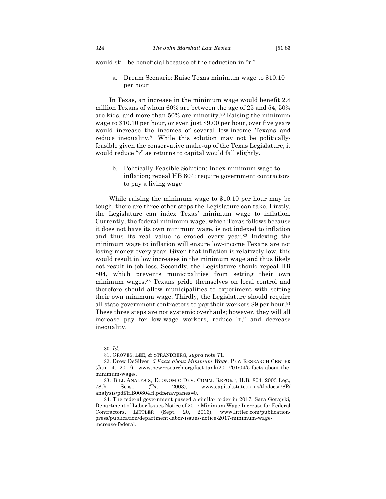would still be beneficial because of the reduction in "r."

a. Dream Scenario: Raise Texas minimum wage to \$10.10 per hour

In Texas, an increase in the minimum wage would benefit 2.4 million Texans of whom 60% are between the age of 25 and 54, 50% are kids, and more than 50% are minority.80 Raising the minimum wage to \$10.10 per hour, or even just \$9.00 per hour, over five years would increase the incomes of several low-income Texans and reduce inequality.<sup>81</sup> While this solution may not be politicallyfeasible given the conservative make-up of the Texas Legislature, it would reduce "r" as returns to capital would fall slightly.

b. Politically Feasible Solution: Index minimum wage to inflation; repeal HB 804; require government contractors to pay a living wage

While raising the minimum wage to \$10.10 per hour may be tough, there are three other steps the Legislature can take. Firstly, the Legislature can index Texas' minimum wage to inflation. Currently, the federal minimum wage, which Texas follows because it does not have its own minimum wage, is not indexed to inflation and thus its real value is eroded every year.82 Indexing the minimum wage to inflation will ensure low-income Texans are not losing money every year. Given that inflation is relatively low, this would result in low increases in the minimum wage and thus likely not result in job loss. Secondly, the Legislature should repeal HB 804, which prevents municipalities from setting their own minimum wages.83 Texans pride themselves on local control and therefore should allow municipalities to experiment with setting their own minimum wage. Thirdly, the Legislature should require all state government contractors to pay their workers \$9 per hour.84 These three steps are not systemic overhauls; however, they will all increase pay for low-wage workers, reduce "r," and decrease inequality.

<sup>80.</sup> *Id.* 

<sup>81.</sup> GROVES, LEE, & STRANDBERG, *supra* note 71.

<sup>82.</sup> Drew DeSilver, *5 Facts about Minimum Wage*, PEW RESEARCH CENTER (Jan. 4, 2017), www.pewresearch.org/fact-tank/2017/01/04/5-facts-about-theminimum-wage/.

<sup>83.</sup> BILL ANALYSIS, ECONOMIC DEV. COMM. REPORT, H.B. 804, 2003 Leg., 78th Sess., (Tx. 2003), www.capitol.state.tx.us/tlodocs/78R/ analysis/pdf/HB00804H.pdf#navpanes=0.

<sup>84.</sup> The federal government passed a similar order in 2017. Sara Gorajski, Department of Labor Issues Notice of 2017 Minimum Wage Increase for Federal Contractors, LITTLER (Sept. 20, 2016), www.littler.com/publicationpress/publication/department-labor-issues-notice-2017-minimum-wageincrease-federal.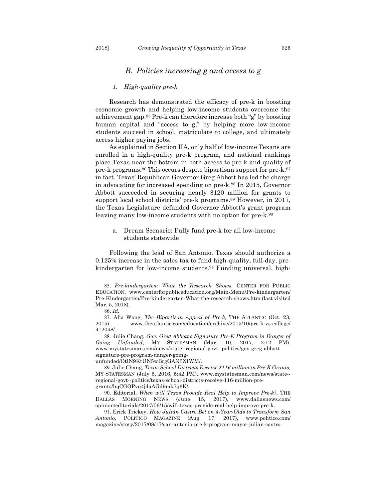## *B. Policies increasing g and access to g*

#### *1. High-quality pre-k*

Research has demonstrated the efficacy of pre-k in boosting economic growth and helping low-income students overcome the achievement gap.85 Pre-k can therefore increase both "g" by boosting human capital and "access to g," by helping more low-income students succeed in school, matriculate to college, and ultimately access higher paying jobs.

As explained in Section IIA, only half of low-income Texans are enrolled in a high-quality pre-k program, and national rankings place Texas near the bottom in both access to pre-k and quality of pre-k programs.<sup>86</sup> This occurs despite bipartisan support for pre-k;<sup>87</sup> in fact, Texas' Republican Governor Greg Abbott has led the charge in advocating for increased spending on pre-k.88 In 2015, Governor Abbott succeeded in securing nearly \$120 million for grants to support local school districts' pre-k programs.89 However, in 2017, the Texas Legislature defunded Governor Abbott's grant program leaving many low-income students with no option for pre-k.<sup>90</sup>

a. Dream Scenario: Fully fund pre-k for all low-income students statewide

Following the lead of San Antonio, Texas should authorize a 0.125% increase in the sales tax to fund high-quality, full-day, prekindergarten for low-income students.91 Funding universal, high-

unfunded/OtlN9KtUN5wBrgGAN3Z1WM/.

<sup>85.</sup> *Pre-kindergarten: What the Research Shows,* CENTER FOR PUBLIC EDUCATION, www.centerforpubliceducation.org/Main-Menu/Pre-kindergarten/ Pre-Kindergarten/Pre-kindergarten-What-the-research-shows.htm (last visited Mar. 5, 2018).

<sup>86.</sup> *Id.* 

<sup>87.</sup> Alia Wong, *The Bipartisan Appeal of Pre-k,* THE ATLANTIC (Oct. 23, 2015), www.theatlantic.com/education/archive/2015/10/pre-k-vs-college/ 412048/.

<sup>88.</sup> Julie Chang, *Gov. Greg Abbott's Signature Pre-K Program in Danger of Going Unfunded*, MY STATESMAN (Mar. 10, 2017, 2:12 PM), www.mystatesman.com/news/state--regional-govt--politics/gov-greg-abbottsignature-pre-program-danger-going-

<sup>89.</sup> Julie Chang, *Texas School Districts Receive \$116 million in Pre-K Grants,*  MY STATESMAN (July 5, 2016, 5:42 PM), www.mystatesman.com/news/state- regional-govt--politics/texas-school-districts-receive-116-million-pregrants/hqCGOPvq4jdaAGd9mk7q6K/.

<sup>90.</sup> Editorial, *When will Texas Provide Real Help to Improve Pre-k?,* THE DALLAS MORNING NEWS (June 15, 2017), www.dallasnews.com/ opinion/editorials/2017/06/15/will-texas-provide-real-help-improve-pre-k.

<sup>91.</sup> Erick Trickey, *How Julián Castro Bet on 4-Year-Olds to Transform San Antonio*, POLITICO MAGAZINE (Aug. 17, 2017), www.politico.com/ magazine/story/2017/08/17/san-antonio-pre-k-program-mayor-julian-castro-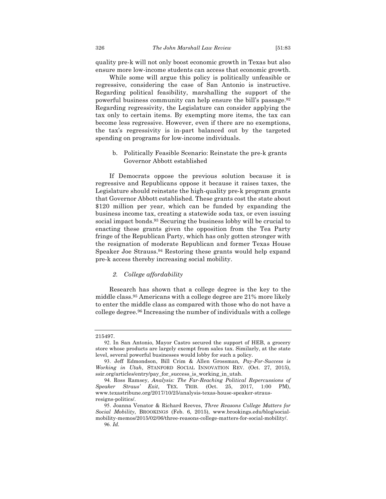quality pre-k will not only boost economic growth in Texas but also ensure more low-income students can access that economic growth.

While some will argue this policy is politically unfeasible or regressive, considering the case of San Antonio is instructive. Regarding political feasibility, marshalling the support of the powerful business community can help ensure the bill's passage.92 Regarding regressivity, the Legislature can consider applying the tax only to certain items. By exempting more items, the tax can become less regressive. However, even if there are no exemptions, the tax's regressivity is in-part balanced out by the targeted spending on programs for low-income individuals.

b. Politically Feasible Scenario: Reinstate the pre-k grants Governor Abbott established

If Democrats oppose the previous solution because it is regressive and Republicans oppose it because it raises taxes, the Legislature should reinstate the high-quality pre-k program grants that Governor Abbott established. These grants cost the state about \$120 million per year, which can be funded by expanding the business income tax, creating a statewide soda tax, or even issuing social impact bonds.93 Securing the business lobby will be crucial to enacting these grants given the opposition from the Tea Party fringe of the Republican Party, which has only gotten stronger with the resignation of moderate Republican and former Texas House Speaker Joe Strauss.94 Restoring these grants would help expand pre-k access thereby increasing social mobility.

#### *2. College affordability*

Research has shown that a college degree is the key to the middle class.95 Americans with a college degree are 21% more likely to enter the middle class as compared with those who do not have a college degree.96 Increasing the number of individuals with a college

<sup>215497.</sup>

<sup>92.</sup> In San Antonio, Mayor Castro secured the support of HEB, a grocery store whose products are largely exempt from sales tax. Similarly, at the state level, several powerful businesses would lobby for such a policy.

<sup>93.</sup> Jeff Edmondson, Bill Crim & Allen Grossman*, Pay-For-Success is Working in Utah*, STANFORD SOCIAL INNOVATION REV. (Oct. 27, 2015), ssir.org/articles/entry/pay\_for\_success\_is\_working\_in\_utah.

<sup>94.</sup> Ross Ramsey, *Analysis: The Far-Reaching Political Repercussions of Speaker Straus' Exit*, TEX. TRIB. (Oct. 25, 2017, 1:00 PM), www.texastribune.org/2017/10/25/analysis-texas-house-speaker-strausresigns-politics/.

<sup>95.</sup> Joanna Venator & Richard Reeves, *Three Reasons College Matters for Social Mobility*, BROOKINGS (Feb. 6, 2015), www.brookings.edu/blog/socialmobility-memos/2015/02/06/three-reasons-college-matters-for-social-mobility/. 96. *Id.*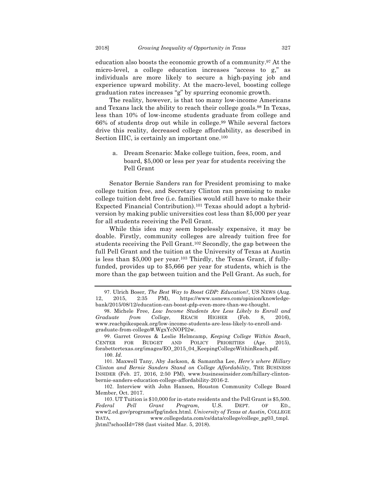education also boosts the economic growth of a community.97 At the micro-level, a college education increases "access to g," as individuals are more likely to secure a high-paying job and experience upward mobility. At the macro-level, boosting college graduation rates increases "g" by spurring economic growth.

The reality, however, is that too many low-income Americans and Texans lack the ability to reach their college goals.98 In Texas, less than 10% of low-income students graduate from college and 66% of students drop out while in college.99 While several factors drive this reality, decreased college affordability, as described in Section IIIC, is certainly an important one.<sup>100</sup>

a. Dream Scenario: Make college tuition, fees, room, and board, \$5,000 or less per year for students receiving the Pell Grant

Senator Bernie Sanders ran for President promising to make college tuition free, and Secretary Clinton ran promising to make college tuition debt free (i.e. families would still have to make their Expected Financial Contribution).101 Texas should adopt a hybridversion by making public universities cost less than \$5,000 per year for all students receiving the Pell Grant.

While this idea may seem hopelessly expensive, it may be doable. Firstly, community colleges are already tuition free for students receiving the Pell Grant.102 Secondly, the gap between the full Pell Grant and the tuition at the University of Texas at Austin is less than \$5,000 per year.103 Thirdly, the Texas Grant, if fullyfunded, provides up to \$5,666 per year for students, which is the more than the gap between tuition and the Pell Grant. As such, for

99. Garret Groves & Leslie Helmcamp, *Keeping College Within Reach*, CENTER FOR BUDGET AND POLICY PRIORITIES (Apr. 2015), forabettertexas.org/images/EO\_2015\_04\_KeepingCollegeWithinReach.pdf. 100. *Id.* 

101. Maxwell Tany, Aby Jackson, & Samantha Lee, *Here's where Hillary Clinton and Bernie Sanders Stand on College Affordability*, THE BUSINESS INSIDER (Feb. 27, 2016, 2:50 PM), www.businessinsider.com/hillary-clintonbernie-sanders-education-college-affordability-2016-2.

<sup>97.</sup> Ulrich Boser, *The Best Way to Boost GDP: Education?*, US NEWS (Aug. 12, 2015, 2:35 PM), https://www.usnews.com/opinion/knowledgebank/2015/08/12/education-can-boost-gdp-even-more-than-we-thought.

<sup>98.</sup> Michele Free, *Low Income Students Are Less Likely to Enroll and Graduate from College*, REACH HIGHER (Feb. 8, 2016), www.reachpikespeak.org/low-income-students-are-less-likely-to-enroll-andgraduate-from-college/#.WgxYcNOPI2w.

<sup>102.</sup> Interview with John Hansen, Houston Community College Board Member, Oct. 2017.

<sup>103.</sup> UT Tuition is \$10,000 for in-state residents and the Pell Grant is \$5,500. *Federal Pell Grant Program,* U.S. DEPT. OF ED., www2.ed.gov/programs/fpg/index.html. *University of Texas at Austin,* COLLEGE DATA, www.collegedata.com/cs/data/college/college\_pg03\_tmpl. jhtml?schoolId=788 (last visited Mar. 5, 2018).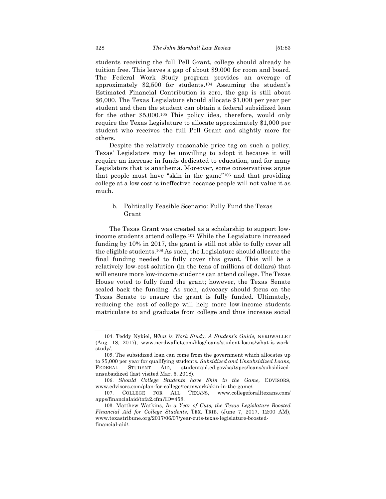students receiving the full Pell Grant, college should already be tuition free. This leaves a gap of about \$9,000 for room and board. The Federal Work Study program provides an average of approximately \$2,500 for students.104 Assuming the student's Estimated Financial Contribution is zero, the gap is still about \$6,000. The Texas Legislature should allocate \$1,000 per year per student and then the student can obtain a federal subsidized loan for the other \$5,000.105 This policy idea, therefore, would only require the Texas Legislature to allocate approximately \$1,000 per student who receives the full Pell Grant and slightly more for others.

Despite the relatively reasonable price tag on such a policy, Texas' Legislators may be unwilling to adopt it because it will require an increase in funds dedicated to education, and for many Legislators that is anathema. Moreover, some conservatives argue that people must have "skin in the game"106 and that providing college at a low cost is ineffective because people will not value it as much.

#### b. Politically Feasible Scenario: Fully Fund the Texas Grant

The Texas Grant was created as a scholarship to support lowincome students attend college.107 While the Legislature increased funding by 10% in 2017, the grant is still not able to fully cover all the eligible students.108 As such, the Legislature should allocate the final funding needed to fully cover this grant. This will be a relatively low-cost solution (in the tens of millions of dollars) that will ensure more low-income students can attend college. The Texas House voted to fully fund the grant; however, the Texas Senate scaled back the funding. As such, advocacy should focus on the Texas Senate to ensure the grant is fully funded. Ultimately, reducing the cost of college will help more low-income students matriculate to and graduate from college and thus increase social

<sup>104.</sup> Teddy Nykiel, *What is Work Study, A Student's Guide,* NERDWALLET (Aug. 18, 2017), www.nerdwallet.com/blog/loans/student-loans/what-is-workstudy/.

<sup>105.</sup> The subsidized loan can come from the government which allocates up to \$5,000 per year for qualifying students. *Subsidized and Unsubsidized Loans*, FEDERAL STUDENT AID, studentaid.ed.gov/sa/types/loans/subsidizedunsubsidized (last visited Mar. 5, 2018).

<sup>106.</sup> *Should College Students have Skin in the Game,* EDVISORS, www.edvisors.com/plan-for-college/teamwork/skin-in-the-game/.

<sup>107.</sup> COLLEGE FOR ALL TEXANS, www.collegeforalltexans.com/ apps/financialaid/tofa2.cfm?ID=458.

<sup>108.</sup> Matthew Watkins*, In a Year of Cuts, the Texas Legislature Boosted Financial Aid for College Students*, TEX. TRIB. (June 7, 2017, 12:00 AM), www.texastribune.org/2017/06/07/year-cuts-texas-legislature-boostedfinancial-aid/.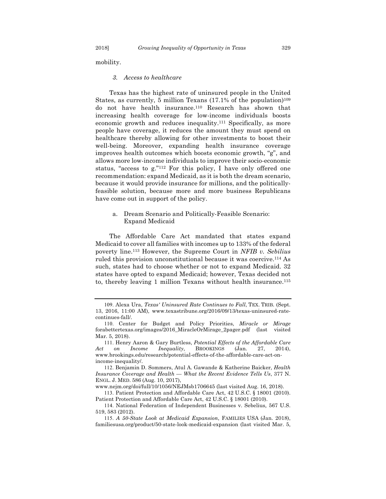mobility.

#### *3. Access to healthcare*

Texas has the highest rate of uninsured people in the United States, as currently, 5 million Texans (17.1% of the population)<sup>109</sup> do not have health insurance.110 Research has shown that increasing health coverage for low-income individuals boosts economic growth and reduces inequality.111 Specifically, as more people have coverage, it reduces the amount they must spend on healthcare thereby allowing for other investments to boost their well-being. Moreover, expanding health insurance coverage improves health outcomes which boosts economic growth, "g", and allows more low-income individuals to improve their socio-economic status, "access to g."112 For this policy, I have only offered one recommendation: expand Medicaid, as it is both the dream scenario, because it would provide insurance for millions, and the politicallyfeasible solution, because more and more business Republicans have come out in support of the policy.

#### a. Dream Scenario and Politically-Feasible Scenario: Expand Medicaid

The Affordable Care Act mandated that states expand Medicaid to cover all families with incomes up to 133% of the federal poverty line.113 However, the Supreme Court in *NFIB v. Sebilius*  ruled this provision unconstitutional because it was coercive.114 As such, states had to choose whether or not to expand Medicaid. 32 states have opted to expand Medicaid; however, Texas decided not to, thereby leaving 1 million Texans without health insurance.115

<sup>109.</sup> Alexa Ura, *Texas' Uninsured Rate Continues to Fall*, TEX. TRIB. (Sept. 13, 2016, 11:00 AM), www.texastribune.org/2016/09/13/texas-uninsured-ratecontinues-fall/.

<sup>110.</sup> Center for Budget and Policy Priorities, *Miracle or Mirage* forabettertexas.org/images/2016\_MiracleOrMirage\_2pager.pdf (last visited Mar. 5, 2018).

<sup>111.</sup> Henry Aaron & Gary Burtless, *Potential Effects of the Affordable Care Act on Income Inequality*, BROOKINGS (Jan. 27, 2014), www.brookings.edu/research/potential-effects-of-the-affordable-care-act-onincome-inequality/.

<sup>112.</sup> Benjamin D. Sommers, Atul A. Gawande & Katherine Baicker, *Health Insurance Coverage and Health — What the Recent Evidence Tells Us*, 377 N. ENGL. J. MED. 586 (Aug. 10, 2017),

www.nejm.org/doi/full/10/1056/NEJMsb1706645 (last visited Aug. 16, 2018).

<sup>113.</sup> Patient Protection and Affordable Care Act, 42 U.S.C. § 18001 (2010). Patient Protection and Affordable Care Act, 42 U.S.C. § 18001 (2010).

<sup>114.</sup> National Federation of Independent Businesses v. Sebelius*,* 567 U.S. 519, 583 (2012).

<sup>115.</sup> *A 50-State Look at Medicaid Expansion*, FAMILIES USA (Jan. 2018), familiesusa.org/product/50-state-look-medicaid-expansion (last visited Mar. 5,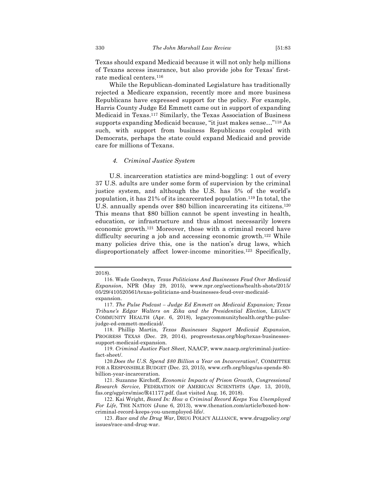Texas should expand Medicaid because it will not only help millions of Texans access insurance, but also provide jobs for Texas' firstrate medical centers.116

While the Republican-dominated Legislature has traditionally rejected a Medicare expansion, recently more and more business Republicans have expressed support for the policy. For example, Harris County Judge Ed Emmett came out in support of expanding Medicaid in Texas.117 Similarly, the Texas Association of Business supports expanding Medicaid because, "it just makes sense…"118 As such, with support from business Republicans coupled with Democrats, perhaps the state could expand Medicaid and provide care for millions of Texans.

#### *4. Criminal Justice System*

U.S. incarceration statistics are mind-boggling: 1 out of every 37 U.S. adults are under some form of supervision by the criminal justice system, and although the U.S. has 5% of the world's population, it has 21% of its incarcerated population.119 In total, the U.S. annually spends over \$80 billion incarcerating its citizens.<sup>120</sup> This means that \$80 billion cannot be spent investing in health, education, or infrastructure and thus almost necessarily lowers economic growth.121 Moreover, those with a criminal record have difficulty securing a job and accessing economic growth.122 While many policies drive this, one is the nation's drug laws, which disproportionately affect lower-income minorities.123 Specifically,

<sup>2018).</sup> 

<sup>116.</sup> Wade Goodwyn, *Texas Politicians And Businesses Feud Over Medicaid Expansion*, NPR (May 29, 2015), www.npr.org/sections/health-shots/2015/ 05/29/410520561/texas-politicians-and-businesses-feud-over-medicaidexpansion.

<sup>117.</sup> *The Pulse Podcast – Judge Ed Emmett on Medicaid Expansion; Texas Tribune's Edgar Walters on Zika and the Presidential Election*, LEGACY COMMUNITY HEALTH (Apr. 6, 2018), legacycommunityhealth.org/the-pulsejudge-ed-emmett-medicaid/.

<sup>118.</sup> Phillip Martin, *Texas Businesses Support Medicaid Expansion*, PROGRESS TEXAS (Dec. 29, 2014), progresstexas.org/blog/texas-businessessupport-medicaid-expansion.

<sup>119.</sup> *Criminal Justice Fact Sheet*, NAACP, www.naacp.org/criminal-justicefact-sheet/.

<sup>120.</sup>*Does the U.S. Spend \$80 Billion a Year on Incarceration?*, COMMITTEE FOR A RESPONSIBLE BUDGET (Dec. 23, 2015), www.crfb.org/blogs/us-spends-80 billion-year-incarceration.

<sup>121.</sup> Suzanne Kirchoff, *Economic Impacts of Prison Growth, Congressional Research Service*, FEDERATION OF AMERICAN SCIENTISTS (Apr. 13, 2010), fas.org/sgp/crs/misc/R41177.pdf. (last visited Aug. 16, 2018).

<sup>122.</sup> Kai Wright, *Boxed In: How a Criminal Record Keeps You Unemployed For Life*, THE NATION (June 6, 2013), www.thenation.com/article/boxed-howcriminal-record-keeps-you-unemployed-life/.

<sup>123.</sup> *Race and the Drug War*, DRUG POLICY ALLIANCE, www.drugpolicy.org/ issues/race-and-drug-war.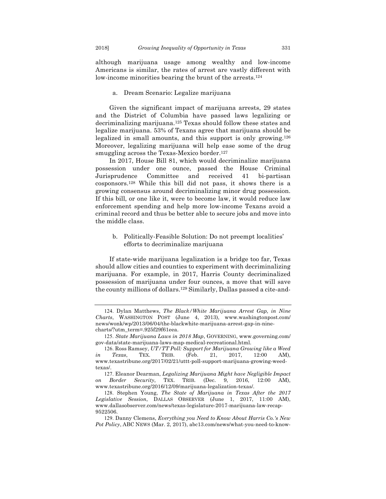although marijuana usage among wealthy and low-income Americans is similar, the rates of arrest are vastly different with low-income minorities bearing the brunt of the arrests.<sup>124</sup>

#### a. Dream Scenario: Legalize marijuana

Given the significant impact of marijuana arrests, 29 states and the District of Columbia have passed laws legalizing or decriminalizing marijuana.125 Texas should follow these states and legalize marijuana. 53% of Texans agree that marijuana should be legalized in small amounts, and this support is only growing.126 Moreover, legalizing marijuana will help ease some of the drug smuggling across the Texas-Mexico border.<sup>127</sup>

In 2017, House Bill 81, which would decriminalize marijuana possession under one ounce, passed the House Criminal Jurisprudence Committee and received 41 bi-partisan cosponsors.128 While this bill did not pass, it shows there is a growing consensus around decriminalizing minor drug possession. If this bill, or one like it, were to become law, it would reduce law enforcement spending and help more low-income Texans avoid a criminal record and thus be better able to secure jobs and move into the middle class.

### b. Politically-Feasible Solution: Do not preempt localities' efforts to decriminalize marijuana

If state-wide marijuana legalization is a bridge too far, Texas should allow cities and counties to experiment with decriminalizing marijuana. For example, in 2017, Harris County decriminalized possession of marijuana under four ounces, a move that will save the county millions of dollars.129 Similarly, Dallas passed a cite-and-

<sup>124.</sup> Dylan Matthews, *The Black/White Marijuana Arrest Gap, in Nine Charts*, WASHINGTON POST (June 4, 2013), www.washingtonpost.com/ news/wonk/wp/2013/06/04/the-blackwhite-marijuana-arrest-gap-in-ninecharts/?utm\_term=.925f29f61eea.

<sup>125.</sup> *State Marijuana Laws in 2018 Map*, GOVERNING, www.governing.com/ gov-data/state-marijuana-laws-map-medical-recreational.html.

<sup>126.</sup> Ross Ramsey, *UT/TT Poll: Support for Marijuana Growing like a Weed in Texas*, TEX. TRIB. (Feb. 21, 2017, 12:00 AM), www.texastribune.org/2017/02/21/uttt-poll-support-marijuana-growing-weedtexas/.

<sup>127.</sup> Eleanor Dearman, *Legalizing Marijuana Might have Negligible Impact on Border Security*, TEX. TRIB. (Dec. 9, 2016, 12:00 AM), www.texastribune.org/2016/12/09/marijuana-legalization-texas/.

<sup>128.</sup> Stephen Young, *The State of Marijuana in Texas After the 2017 Legislative Session*, DALLAS OBSERVER (June 1, 2017, 11:00 AM), www.dallasobserver.com/news/texas-legislature-2017-marijuana-law-recap-9522506.

<sup>129.</sup> Danny Clemens, *Everything you Need to Know About Harris Co.'s New Pot Policy*, ABC NEWS (Mar. 2, 2017), abc13.com/news/what-you-need-to-know-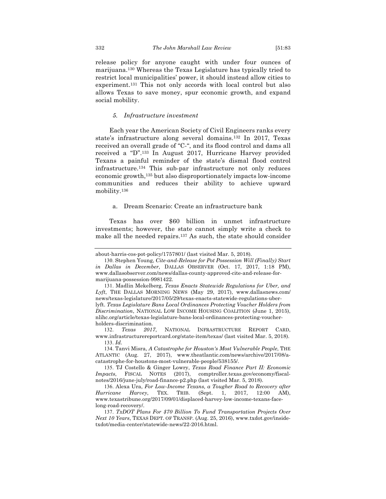allows Texas to save money, spur economic growth, and expand

#### *5. Infrastructure investment*

Each year the American Society of Civil Engineers ranks every state's infrastructure along several domains.132 In 2017, Texas received an overall grade of "C-", and its flood control and dams all received a "D".133 In August 2017, Hurricane Harvey provided Texans a painful reminder of the state's dismal flood control infrastructure.134 This sub-par infrastructure not only reduces economic growth,135 but also disproportionately impacts low-income communities and reduces their ability to achieve upward mobility.136

a. Dream Scenario: Create an infrastructure bank

Texas has over \$60 billion in unmet infrastructure investments; however, the state cannot simply write a check to make all the needed repairs.137 As such, the state should consider

social mobility.

about-harris-cos-pot-policy/1757801/ (last visited Mar. 5, 2018).

<sup>130.</sup> Stephen Young, *Cite-and-Release for Pot Possession Will (Finally) Start in Dallas in December*, DALLAS OBSERVER (Oct. 17, 2017, 1:18 PM), www.dallasobserver.com/news/dallas-county-approved-cite-and-release-formarijuana-possession-9981422.

<sup>131.</sup> Madlin Mekelberg, *Texas Enacts Statewide Regulations for Uber, and Lyft*, THE DALLAS MORNING NEWS (May 29, 2017), www.dallasnews.com/ news/texas-legislature/2017/05/29/texas-enacts-statewide-regulations-uberlyft. *Texas Legislature Bans Local Ordinances Protecting Voucher Holders from Discrimination*, NATIONAL LOW INCOME HOUSING COALITION (June 1, 2015), nlihc.org/article/texas-legislature-bans-local-ordinances-protecting-voucherholders-discrimination.

<sup>132.</sup> *Texas 2017*, NATIONAL INFRASTRUCTURE REPORT CARD, www.infrastructurereportcard.org/state-item/texas/ (last visited Mar. 5, 2018). 133. *Id.* 

<sup>134.</sup> Tanvi Misra, *A Catastrophe for Houston's Most Vulnerable People*, THE ATLANTIC (Aug. 27, 2017), www.theatlantic.com/news/archive/2017/08/acatastrophe-for-houstons-most-vulnerable-people/538155/.

<sup>135.</sup> TJ Costello & Ginger Lowry, *Texas Road Finance Part II: Economic Impacts*, FISCAL NOTES (2017), comptroller.texas.gov/economy/fiscalnotes/2016/june-july/road-finance-p2.php (last visited Mar. 5, 2018).

<sup>136.</sup> Alexa Ura, *For Low-Income Texans, a Tougher Road to Recovery after Hurricane Harvey*, TEX. TRIB. (Sept. 1, 2017, 12:00 AM), www.texastribune.org/2017/09/01/displaced-harvey-low-income-texans-facelong-road-recovery/.

<sup>137.</sup> *TxDOT Plans For \$70 Billion To Fund Transportation Projects Over Next 10 Years*, TEXAS DEPT. OF TRANSP. (Aug. 25, 2016), www.txdot.gov/insidetxdot/media-center/statewide-news/22-2016.html.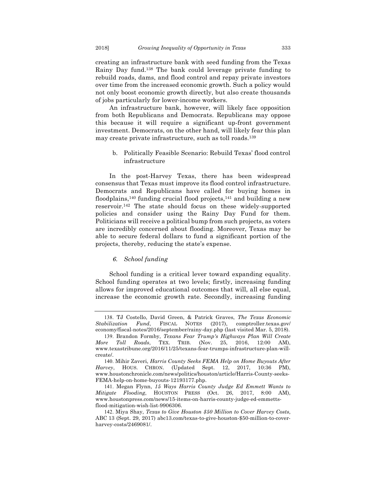creating an infrastructure bank with seed funding from the Texas Rainy Day fund.138 The bank could leverage private funding to rebuild roads, dams, and flood control and repay private investors over time from the increased economic growth. Such a policy would not only boost economic growth directly, but also create thousands of jobs particularly for lower-income workers.

An infrastructure bank, however, will likely face opposition from both Republicans and Democrats. Republicans may oppose this because it will require a significant up-front government investment. Democrats, on the other hand, will likely fear this plan may create private infrastructure, such as toll roads.139

#### b. Politically Feasible Scenario: Rebuild Texas' flood control infrastructure

In the post-Harvey Texas, there has been widespread consensus that Texas must improve its flood control infrastructure. Democrats and Republicans have called for buying homes in floodplains,<sup>140</sup> funding crucial flood projects,<sup>141</sup> and building a new reservoir.142 The state should focus on these widely-supported policies and consider using the Rainy Day Fund for them. Politicians will receive a political bump from such projects, as voters are incredibly concerned about flooding. Moreover, Texas may be able to secure federal dollars to fund a significant portion of the projects, thereby, reducing the state's expense.

#### *6. School funding*

School funding is a critical lever toward expanding equality. School funding operates at two levels; firstly, increasing funding allows for improved educational outcomes that will, all else equal, increase the economic growth rate. Secondly, increasing funding

<sup>138.</sup> TJ Costello, David Green, & Patrick Graves, *The Texas Economic Stabilization Fund*, FISCAL NOTES (2017), comptroller.texas.gov/ economy/fiscal-notes/2016/september/rainy-day.php (last visited Mar. 5, 2018).

<sup>139.</sup> Brandon Formby, *Texans Fear Trump's Highways Plan Will Create More Toll Roads*, TEX. TRIB. (Nov. 25, 2016, 12:00 AM), www.texastribune.org/2016/11/25/texans-fear-trumps-infrastructure-plan-willcreate/.

<sup>140.</sup> Mihir Zaveri, *Harris County Seeks FEMA Help on Home Buyouts After Harvey*, HOUS. CHRON. (Updated Sept. 12, 2017, 10:36 PM), www.houstonchronicle.com/news/politics/houston/article/Harris-County-seeks-FEMA-help-on-home-buyouts-12193177.php.

<sup>141.</sup> Megan Flynn, *15 Ways Harris County Judge Ed Emmett Wants to Mitigate Flooding*, HOUSTON PRESS (Oct. 26, 2017, 8:00 AM), www.houstonpress.com/news/15-items-on-harris-county-judge-ed-emmettsflood-mitigation-wish-list-9906306.

<sup>142.</sup> Miya Shay, *Texas to Give Houston \$50 Million to Cover Harvey Costs*, ABC 13 (Sept. 29, 2017) abc13.com/texas-to-give-houston-\$50-million-to-coverharvey-costs/2469081/.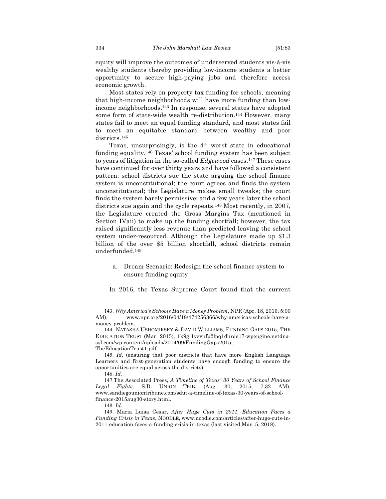equity will improve the outcomes of underserved students vis-à-vis wealthy students thereby providing low-income students a better opportunity to secure high-paying jobs and therefore access economic growth.

Most states rely on property tax funding for schools, meaning that high-income neighborhoods will have more funding than lowincome neighborhoods.143 In response, several states have adopted some form of state-wide wealth re-distribution.144 However, many states fail to meet an equal funding standard, and most states fail to meet an equitable standard between wealthy and poor districts.<sup>145</sup>

Texas, unsurprisingly, is the 4<sup>th</sup> worst state in educational funding equality.146 Texas' school funding system has been subject to years of litigation in the so-called *Edgewood* cases.147 These cases have continued for over thirty years and have followed a consistent pattern: school districts sue the state arguing the school finance system is unconstitutional; the court agrees and finds the system unconstitutional; the Legislature makes small tweaks; the court finds the system barely permissive; and a few years later the school districts sue again and the cycle repeats.<sup>148</sup> Most recently, in 2007, the Legislature created the Gross Margins Tax (mentioned in Section IVaii) to make up the funding shortfall; however, the tax raised significantly less revenue than predicted leaving the school system under-resourced. Although the Legislature made up \$1.3 billion of the over \$5 billion shortfall, school districts remain underfunded.149

a. Dream Scenario: Redesign the school finance system to ensure funding equity

In 2016, the Texas Supreme Court found that the current

148. *Id.* 

<sup>143.</sup> *Why America's Schools Have a Money Problem*, NPR (Apr. 18, 2016, 5:00 AM), www.npr.org/2016/04/18/474256366/why-americas-schools-have-amoney-problem.

<sup>144.</sup> NATASHA USHOMIRSKY & DAVID WILLIAMS, FUNDING GAPS 2015, THE EDUCATION TRUST (Mar. 2015), 1k9gl1yevnfp2lpq1dhrqe17-wpengine.netdnassl.com/wp-content/uploads/2014/09/FundingGaps2015\_ TheEducationTrust1.pdf.

<sup>145.</sup> *Id.* (ensuring that poor districts that have more English Language Learners and first-generation students have enough funding to ensure the opportunities are equal across the districts).

<sup>146.</sup> *Id.* 

<sup>147.</sup>The Associated Press, *A Timeline of Texas' 30 Years of School Finance Legal Fights*, S.D. UNION TRIB. (Aug. 30, 2015, 7:32 AM), www.sandiegouniontribune.com/sdut-a-timeline-of-texas-30-years-of-schoolfinance-2015aug30-story.html.

<sup>149.</sup> Maria Luisa Cesar, *After Huge Cuts in 2011, Education Faces a Funding Crisis in Texas*, NOODLE, www.noodle.com/articles/after-huge-cuts-in-2011-education-faces-a-funding-crisis-in-texas (last visited Mar. 5, 2018).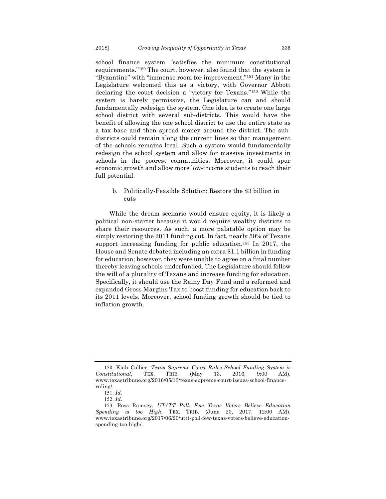school finance system "satisfies the minimum constitutional requirements."150 The court, however, also found that the system is "Byzantine" with "immense room for improvement."151 Many in the Legislature welcomed this as a victory, with Governor Abbott declaring the court decision a "victory for Texans."152 While the system is barely permissive, the Legislature can and should fundamentally redesign the system. One idea is to create one large school district with several sub-districts. This would have the benefit of allowing the one school district to use the entire state as a tax base and then spread money around the district. The subdistricts could remain along the current lines so that management of the schools remains local. Such a system would fundamentally redesign the school system and allow for massive investments in schools in the poorest communities. Moreover, it could spur economic growth and allow more low-income students to reach their full potential.

### b. Politically-Feasible Solution: Restore the \$3 billion in cuts

While the dream scenario would ensure equity, it is likely a political non-starter because it would require wealthy districts to share their resources. As such, a more palatable option may be simply restoring the 2011 funding cut. In fact, nearly 50% of Texans support increasing funding for public education.153 In 2017, the House and Senate debated including an extra \$1.1 billion in funding for education; however, they were unable to agree on a final number thereby leaving schools underfunded. The Legislature should follow the will of a plurality of Texans and increase funding for education. Specifically, it should use the Rainy Day Fund and a reformed and expanded Gross Margins Tax to boost funding for education back to its 2011 levels. Moreover, school funding growth should be tied to inflation growth.

<sup>150.</sup> Kiah Collier, *Texas Supreme Court Rules School Funding System is Constitutional*, TEX. TRIB. (May 13, 2016, 9:00 AM), www.texastribune.org/2016/05/13/texas-supreme-court-issues-school-financeruling/.

<sup>151.</sup> *Id.* 

<sup>152.</sup> *Id.* 

<sup>153.</sup> Ross Ramsey, *UT/TT Poll: Few Texas Voters Believe Education Spending is too High*, TEX. TRIB. (June 20, 2017, 12:00 AM), www.texastribune.org/2017/06/20/uttt-poll-few-texas-voters-believe-educationspending-too-high/.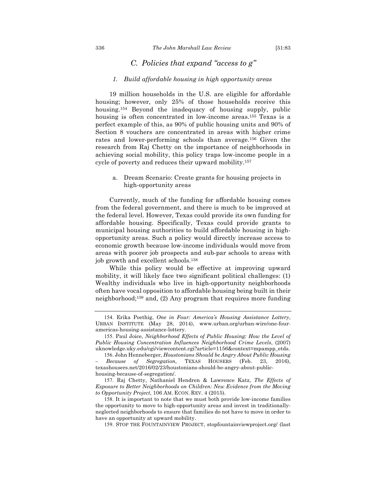#### *1. Build affordable housing in high opportunity areas*

19 million households in the U.S. are eligible for affordable housing; however, only 25% of those households receive this housing.<sup>154</sup> Beyond the inadequacy of housing supply, public housing is often concentrated in low-income areas.<sup>155</sup> Texas is a perfect example of this, as 90% of public housing units and 90% of Section 8 vouchers are concentrated in areas with higher crime rates and lower-performing schools than average.156 Given the research from Raj Chetty on the importance of neighborhoods in achieving social mobility, this policy traps low-income people in a cycle of poverty and reduces their upward mobility.157

a. Dream Scenario: Create grants for housing projects in high-opportunity areas

Currently, much of the funding for affordable housing comes from the federal government, and there is much to be improved at the federal level. However, Texas could provide its own funding for affordable housing. Specifically, Texas could provide grants to municipal housing authorities to build affordable housing in highopportunity areas. Such a policy would directly increase access to economic growth because low-income individuals would move from areas with poorer job prospects and sub-par schools to areas with job growth and excellent schools.158

While this policy would be effective at improving upward mobility, it will likely face two significant political challenges: (1) Wealthy individuals who live in high-opportunity neighborhoods often have vocal opposition to affordable housing being built in their neighborhood;159 and, (2) Any program that requires more funding

157. Raj Chetty, Nathaniel Hendren & Lawrence Katz, *The Effects of Exposure to Better Neighborhoods on Children: New Evidence from the Moving to Opportunity Project*, 106 AM. ECON. REV. 4 (2015).

158. It is important to note that we must both provide low-income families the opportunity to move to high-opportunity areas and invest in traditionallyneglected neighborhoods to ensure that families do not have to move in order to have an opportunity at upward mobility.

159. STOP THE FOUNTAINVIEW PROJECT, stopfountainviewproject.org/ (last

<sup>154.</sup> Erika Poethig, *One in Four: America's Housing Assistance Lottery*, URBAN INSTITUTE (May 28, 2014), www.urban.org/urban-wire/one-fouramericas-housing-assistance-lottery.

<sup>155.</sup> Paul Joice, *Neighborhood Effects of Public Housing: How the Level of Public Housing Concentration Influences Neighborhood Crime Levels*, (2007) uknowledge.uky.edu/cgi/viewcontent.cgi?article=1156&context=mpampp\_etds.

<sup>156.</sup> John Henneberger, *Houstonians Should be Angry About Public Housing – Because of Segregation*, TEXAS HOUSERS (Feb. 23, 2016), texashousers.net/2016/02/23/houstonians-should-be-angry-about-publichousing-because-of-segregation/.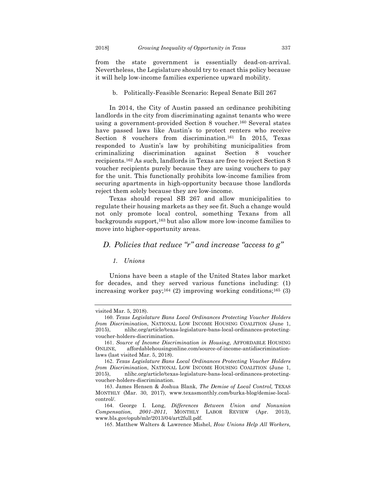from the state government is essentially dead-on-arrival. Nevertheless, the Legislature should try to enact this policy because it will help low-income families experience upward mobility.

#### b. Politically-Feasible Scenario: Repeal Senate Bill 267

In 2014, the City of Austin passed an ordinance prohibiting landlords in the city from discriminating against tenants who were using a government-provided Section 8 voucher.160 Several states have passed laws like Austin's to protect renters who receive Section 8 vouchers from discrimination.161 In 2015, Texas responded to Austin's law by prohibiting municipalities from criminalizing discrimination against Section 8 voucher recipients.162 As such, landlords in Texas are free to reject Section 8 voucher recipients purely because they are using vouchers to pay for the unit. This functionally prohibits low-income families from securing apartments in high-opportunity because those landlords reject them solely because they are low-income.

Texas should repeal SB 267 and allow municipalities to regulate their housing markets as they see fit. Such a change would not only promote local control, something Texans from all backgrounds support,163 but also allow more low-income families to move into higher-opportunity areas.

## *D. Policies that reduce "r" and increase "access to g"*

#### *1. Unions*

Unions have been a staple of the United States labor market for decades, and they served various functions including: (1) increasing worker pay;<sup>164</sup> (2) improving working conditions;<sup>165</sup> (3)

visited Mar. 5, 2018).

<sup>160.</sup> *Texas Legislature Bans Local Ordinances Protecting Voucher Holders from Discrimination*, NATIONAL LOW INCOME HOUSING COALITION (June 1, 2015), nlihc.org/article/texas-legislature-bans-local-ordinances-protectingvoucher-holders-discrimination.

<sup>161.</sup> *Source of Income Discrimination in Housing*, AFFORDABLE HOUSING ONLINE, affordablehousingonline.com/source-of-income-antidiscriminationlaws (last visited Mar. 5, 2018).

<sup>162.</sup> *Texas Legislature Bans Local Ordinances Protecting Voucher Holders from Discrimination*, NATIONAL LOW INCOME HOUSING COALITION (June 1, 2015), nlihc.org/article/texas-legislature-bans-local-ordinances-protectingvoucher-holders-discrimination.

<sup>163.</sup> James Hensen & Joshua Blank, *The Demise of Local Control,* TEXAS MONTHLY (Mar. 30, 2017), www.texasmonthly.com/burka-blog/demise-localcontrol/.

<sup>164.</sup> George I. Long, *Differences Between Union and Nonunion Compensation, 2001–2011*, MONTHLY LABOR REVIEW (Apr. 2013), www.bls.gov/opub/mlr/2013/04/art2full.pdf.

<sup>165.</sup> Matthew Walters & Lawrence Mishel, *How Unions Help All Workers,*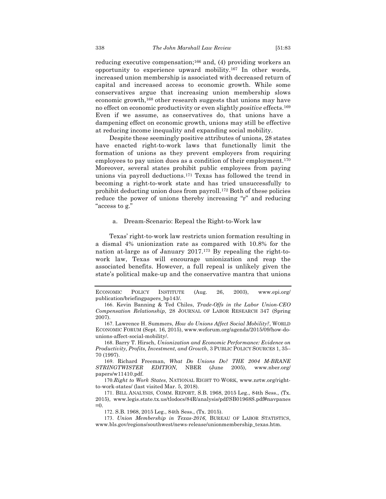reducing executive compensation;166 and, (4) providing workers an opportunity to experience upward mobility.167 In other words, increased union membership is associated with decreased return of capital and increased access to economic growth. While some conservatives argue that increasing union membership slows economic growth,168 other research suggests that unions may have no effect on economic productivity or even slightly *positive* effects.169 Even if we assume, as conservatives do, that unions have a dampening effect on economic growth, unions may still be effective at reducing income inequality and expanding social mobility.

Despite these seemingly positive attributes of unions, 28 states have enacted right-to-work laws that functionally limit the formation of unions as they prevent employers from requiring employees to pay union dues as a condition of their employment.<sup>170</sup> Moreover, several states prohibit public employees from paying unions via payroll deductions.171 Texas has followed the trend in becoming a right-to-work state and has tried unsuccessfully to prohibit deducting union dues from payroll.172 Both of these policies reduce the power of unions thereby increasing "r" and reducing "access to g."

## a. Dream-Scenario: Repeal the Right-to-Work law

Texas' right-to-work law restricts union formation resulting in a dismal 4% unionization rate as compared with 10.8% for the nation at-large as of January 2017.173 By repealing the right-towork law, Texas will encourage unionization and reap the associated benefits. However, a full repeal is unlikely given the state's political make-up and the conservative mantra that unions

168. Barry T. Hirsch, *Unionization and Economic Performance: Evidence on Productivity, Profits, Investment, and Growth*, 3 PUBLIC POLICY SOURCES 1, 35– 70 (1997).

169. Richard Freeman, *What Do Unions Do? THE 2004 M-BRANE STRINGTWISTER EDITION,* NBER (June 2005), www.nber.org/ papers/w11410.pdf.

170.*Right to Work States*, NATIONAL RIGHT TO WORK, www.nrtw.org/rightto-work-states/ (last visited Mar. 5, 2018).

172. S.B. 1968, 2015 Leg., 84th Sess., (Tx. 2015).

173. *Union Membership in Texas-2016*, BUREAU OF LABOR STATISTICS, www.bls.gov/regions/southwest/news-release/unionmembership\_texas.htm.

ECONOMIC POLICY INSTITUTE (Aug. 26, 2003), www.epi.org/ publication/briefingpapers\_bp143/.

<sup>166.</sup> Kevin Banning & Ted Chiles, *Trade-Offs in the Labor Union-CEO Compensation Relationship*, 28 JOURNAL OF LABOR RESEARCH 347 (Spring 2007).

<sup>167.</sup> Lawrence H. Summers, *How do Unions Affect Social Mobility?*, WORLD ECONOMIC FORUM (Sept. 16, 2015), www.weforum.org/agenda/2015/09/how-dounions-affect-social-mobility/.

<sup>171.</sup> BILL ANALYSIS, COMM. REPORT, S.B. 1968, 2015 Leg., 84th Sess., (Tx. 2015), www.legis.state.tx.us/tlodocs/84R/analysis/pdf/SB01968S.pdf#navpanes  $=0$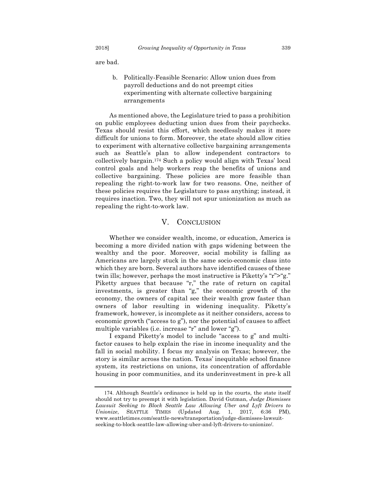are bad.

b. Politically-Feasible Scenario: Allow union dues from payroll deductions and do not preempt cities experimenting with alternate collective bargaining arrangements

As mentioned above, the Legislature tried to pass a prohibition on public employees deducting union dues from their paychecks. Texas should resist this effort, which needlessly makes it more difficult for unions to form. Moreover, the state should allow cities to experiment with alternative collective bargaining arrangements such as Seattle's plan to allow independent contractors to collectively bargain.174 Such a policy would align with Texas' local control goals and help workers reap the benefits of unions and collective bargaining. These policies are more feasible than repealing the right-to-work law for two reasons. One, neither of these policies requires the Legislature to pass anything; instead, it requires inaction. Two, they will not spur unionization as much as repealing the right-to-work law.

### V. CONCLUSION

Whether we consider wealth, income, or education, America is becoming a more divided nation with gaps widening between the wealthy and the poor. Moreover, social mobility is falling as Americans are largely stuck in the same socio-economic class into which they are born. Several authors have identified causes of these twin ills; however, perhaps the most instructive is Piketty's "r">"g." Piketty argues that because "r," the rate of return on capital investments, is greater than "g," the economic growth of the economy, the owners of capital see their wealth grow faster than owners of labor resulting in widening inequality. Piketty's framework, however, is incomplete as it neither considers, access to economic growth ("access to g"), nor the potential of causes to affect multiple variables (i.e. increase "r" and lower "g").

I expand Piketty's model to include "access to g" and multifactor causes to help explain the rise in income inequality and the fall in social mobility. I focus my analysis on Texas; however, the story is similar across the nation. Texas' inequitable school finance system, its restrictions on unions, its concentration of affordable housing in poor communities, and its underinvestment in pre-k all

<sup>174.</sup> Although Seattle's ordinance is held up in the courts, the state itself should not try to preempt it with legislation. David Gutman, *Judge Dismisses*  Lawsuit Seeking to Block Seattle Law Allowing Uber and Lyft Drivers to *Unionize*, SEATTLE TIMES (Updated Aug. 1, 2017, 6:36 PM), www.seattletimes.com/seattle-news/transportation/judge-dismisses-lawsuitseeking-to-block-seattle-law-allowing-uber-and-lyft-drivers-to-unionize/.